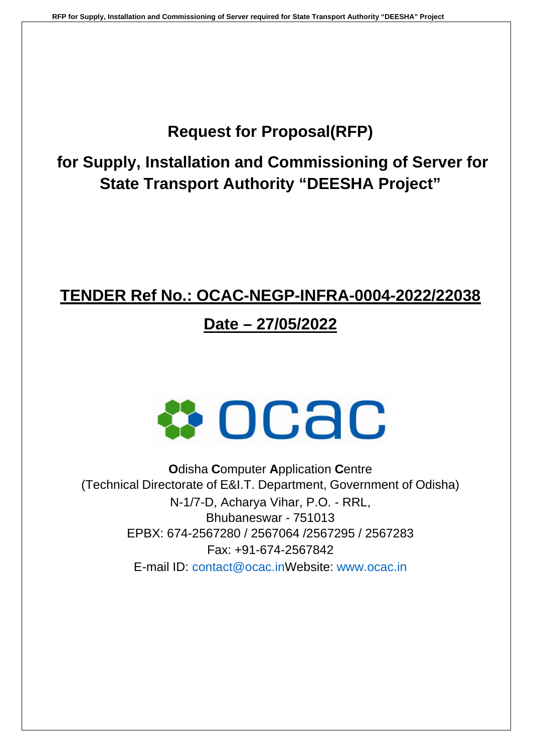# **Request for Proposal(RFP)**

**for Supply, Installation and Commissioning of Server for State Transport Authority "DEESHA Project"**

## **TENDER Ref No.: OCAC-NEGP-INFRA-0004-2022/22038**

# **Date – 27/05/2022**



**O**disha **C**omputer **A**pplication **C**entre (Technical Directorate of E&I.T. Department, Government of Odisha) N-1/7-D, Acharya Vihar, P.O. - RRL, Bhubaneswar - 751013 EPBX: 674-2567280 / 2567064 /2567295 / 2567283 Fax: +91-674-2567842 E-mail ID: contact@ocac.inWebsite: www.ocac.in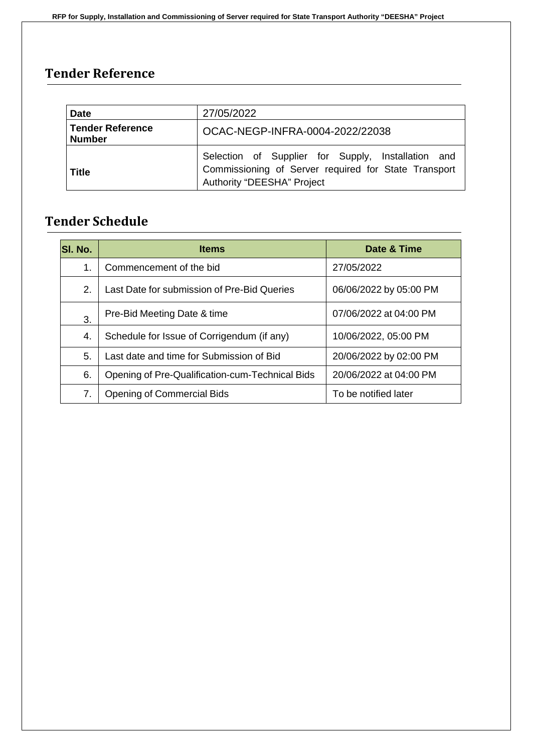## **Tender Reference**

| <b>Date</b>                              | 27/05/2022                                                                                                                                      |  |
|------------------------------------------|-------------------------------------------------------------------------------------------------------------------------------------------------|--|
| <b>Tender Reference</b><br><b>Number</b> | OCAC-NEGP-INFRA-0004-2022/22038                                                                                                                 |  |
| <b>Title</b>                             | Selection of Supplier for Supply, Installation and<br>Commissioning of Server required for State Transport<br><b>Authority "DEESHA" Project</b> |  |

## **Tender Schedule**

| <b>SI. No.</b> | <b>Items</b>                                    | Date & Time            |  |
|----------------|-------------------------------------------------|------------------------|--|
| 1.             | Commencement of the bid                         | 27/05/2022             |  |
| 2.             | Last Date for submission of Pre-Bid Queries     | 06/06/2022 by 05:00 PM |  |
| 3.             | Pre-Bid Meeting Date & time                     | 07/06/2022 at 04:00 PM |  |
| 4.             | Schedule for Issue of Corrigendum (if any)      | 10/06/2022, 05:00 PM   |  |
| 5.             | Last date and time for Submission of Bid        | 20/06/2022 by 02:00 PM |  |
| 6.             | Opening of Pre-Qualification-cum-Technical Bids | 20/06/2022 at 04:00 PM |  |
| 7.             | <b>Opening of Commercial Bids</b>               | To be notified later   |  |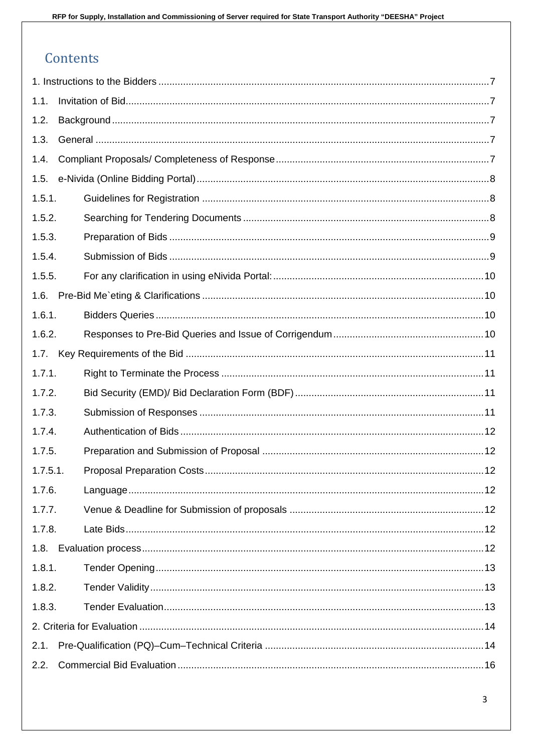## Contents

| 1.1.    |    |
|---------|----|
| 1.2.    |    |
| 1.3.    |    |
| 1.4.    |    |
| 1.5.    |    |
| 1.5.1.  |    |
| 1.5.2.  |    |
| 1.5.3.  |    |
| 1.5.4.  |    |
| 1.5.5.  |    |
| 1.6.    |    |
| 1.6.1.  |    |
| 1.6.2.  |    |
| 1.7.    |    |
| 1.7.1.  |    |
| 1.7.2.  |    |
| 1.7.3.  |    |
| 1.7.4.  |    |
| 1.7.5.  |    |
| 1.7.5.1 | 12 |
| 1.7.6.  |    |
| 1.7.7.  |    |
| 1.7.8.  |    |
| 1.8.    |    |
| 1.8.1.  |    |
| 1.8.2.  |    |
| 1.8.3.  |    |
|         |    |
| 2.1.    |    |
| 2.2.    |    |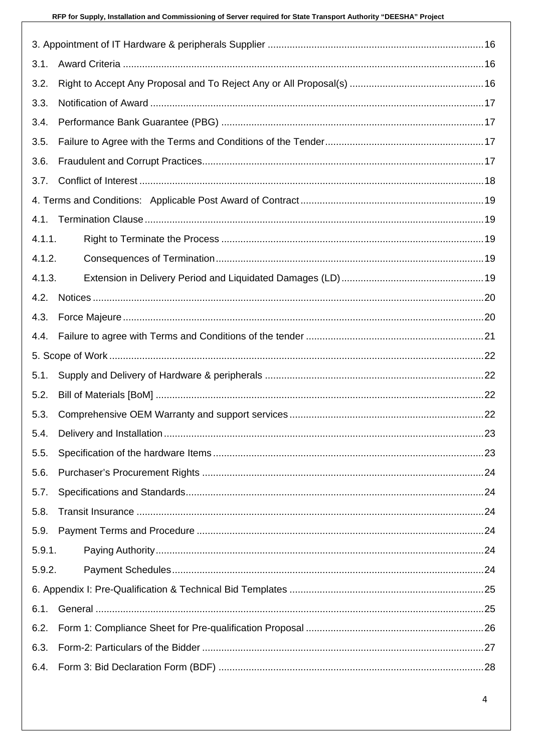| 3.1.   |  |
|--------|--|
| 3.2.   |  |
| 3.3.   |  |
| 3.4.   |  |
| 3.5.   |  |
| 3.6.   |  |
| 3.7.   |  |
|        |  |
| 4.1.   |  |
| 4.1.1. |  |
| 4.1.2. |  |
| 4.1.3. |  |
| 4.2.   |  |
| 4.3.   |  |
| 4.4.   |  |
|        |  |
| 5.1.   |  |
| 5.2.   |  |
| 5.3.   |  |
| 5.4.   |  |
| 5.5.   |  |
| 5.6.   |  |
| 5.7.   |  |
| 5.8.   |  |
| 5.9.   |  |
| 5.9.1. |  |
| 5.9.2. |  |
|        |  |
| 6.1.   |  |
| 6.2.   |  |
| 6.3.   |  |
| 6.4.   |  |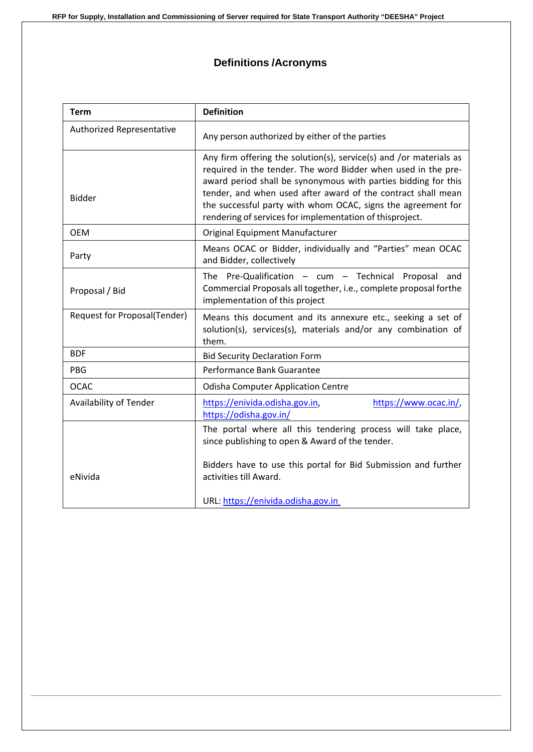## **Definitions /Acronyms**

| <b>Term</b>                         | <b>Definition</b>                                                                                                                                                                                                                                                                                                                                                                                 |  |  |
|-------------------------------------|---------------------------------------------------------------------------------------------------------------------------------------------------------------------------------------------------------------------------------------------------------------------------------------------------------------------------------------------------------------------------------------------------|--|--|
| Authorized Representative           | Any person authorized by either of the parties                                                                                                                                                                                                                                                                                                                                                    |  |  |
| <b>Bidder</b>                       | Any firm offering the solution(s), service(s) and /or materials as<br>required in the tender. The word Bidder when used in the pre-<br>award period shall be synonymous with parties bidding for this<br>tender, and when used after award of the contract shall mean<br>the successful party with whom OCAC, signs the agreement for<br>rendering of services for implementation of thisproject. |  |  |
| <b>OEM</b>                          | Original Equipment Manufacturer                                                                                                                                                                                                                                                                                                                                                                   |  |  |
| Party                               | Means OCAC or Bidder, individually and "Parties" mean OCAC<br>and Bidder, collectively                                                                                                                                                                                                                                                                                                            |  |  |
| Proposal / Bid                      | The Pre-Qualification $-$ cum $-$ Technical Proposal<br>and<br>Commercial Proposals all together, i.e., complete proposal forthe<br>implementation of this project                                                                                                                                                                                                                                |  |  |
| <b>Request for Proposal(Tender)</b> | Means this document and its annexure etc., seeking a set of<br>solution(s), services(s), materials and/or any combination of<br>them.                                                                                                                                                                                                                                                             |  |  |
| <b>BDF</b>                          | <b>Bid Security Declaration Form</b>                                                                                                                                                                                                                                                                                                                                                              |  |  |
| <b>PBG</b>                          | Performance Bank Guarantee                                                                                                                                                                                                                                                                                                                                                                        |  |  |
| <b>OCAC</b>                         | <b>Odisha Computer Application Centre</b>                                                                                                                                                                                                                                                                                                                                                         |  |  |
| Availability of Tender              | https://enivida.odisha.gov.in,<br>https://www.ocac.in/,<br>https://odisha.gov.in/                                                                                                                                                                                                                                                                                                                 |  |  |
| eNivida                             | The portal where all this tendering process will take place,<br>since publishing to open & Award of the tender.<br>Bidders have to use this portal for Bid Submission and further<br>activities till Award.<br>URL: https://enivida.odisha.gov.in                                                                                                                                                 |  |  |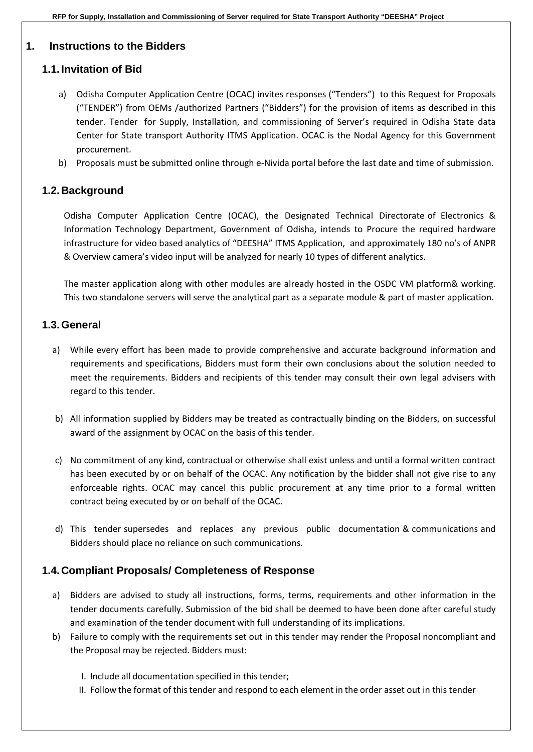#### <span id="page-6-0"></span>**1. Instructions to the Bidders**

### <span id="page-6-1"></span>**1.1. Invitation of Bid**

- a) Odisha Computer Application Centre (OCAC) invites responses ("Tenders") to this Request for Proposals ("TENDER") from OEMs /authorized Partners ("Bidders") for the provision of items as described in this tender. Tender for Supply, Installation, and commissioning of Server's required in Odisha State data Center for State transport Authority ITMS Application. OCAC is the Nodal Agency for this Government procurement.
- b) Proposals must be submitted online through e-Nivida portal before the last date and time of submission.

### <span id="page-6-2"></span>**1.2. Background**

Odisha Computer Application Centre (OCAC), the Designated Technical Directorate of Electronics & Information Technology Department, Government of Odisha, intends to Procure the required hardware infrastructure for video based analytics of "DEESHA" ITMS Application, and approximately 180 no's of ANPR & Overview camera's video input will be analyzed for nearly 10 types of different analytics.

The master application along with other modules are already hosted in the OSDC VM platform& working. This two standalone servers will serve the analytical part as a separate module & part of master application.

#### <span id="page-6-3"></span>**1.3.General**

- a) While every effort has been made to provide comprehensive and accurate background information and requirements and specifications, Bidders must form their own conclusions about the solution needed to meet the requirements. Bidders and recipients of this tender may consult their own legal advisers with regard to this tender.
- b) All information supplied by Bidders may be treated as contractually binding on the Bidders, on successful award of the assignment by OCAC on the basis of this tender.
- c) No commitment of any kind, contractual or otherwise shall exist unless and until a formal written contract has been executed by or on behalf of the OCAC. Any notification by the bidder shall not give rise to any enforceable rights. OCAC may cancel this public procurement at any time prior to a formal written contract being executed by or on behalf of the OCAC.
- d) This tender supersedes and replaces any previous public documentation & communications and Bidders should place no reliance on such communications.

#### <span id="page-6-4"></span>**1.4. Compliant Proposals/ Completeness of Response**

- a) Bidders are advised to study all instructions, forms, terms, requirements and other information in the tender documents carefully. Submission of the bid shall be deemed to have been done after careful study and examination of the tender document with full understanding of its implications.
- b) Failure to comply with the requirements set out in this tender may render the Proposal noncompliant and the Proposal may be rejected. Bidders must:
	- I. Include all documentation specified in this tender;
	- II. Follow the format of thistender and respond to each element in the order asset out in this tender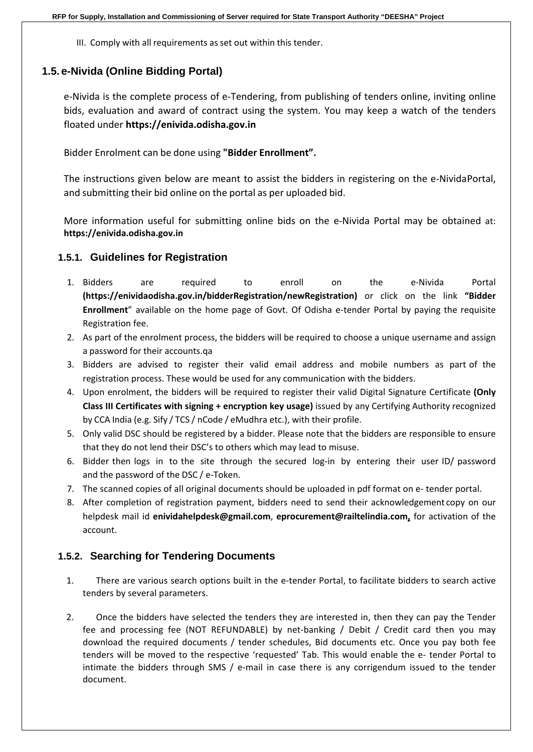III. Comply with all requirements as set out within this tender.

#### <span id="page-7-0"></span>**1.5. e-Nivida (Online Bidding Portal)**

e-Nivida is the complete process of e-Tendering, from publishing of tenders online, inviting online bids, evaluation and award of contract using the system. You may keep a watch of the tenders floated under **https://enivida.odisha.gov.in**

Bidder Enrolment can be done using **"Bidder Enrollment".**

The instructions given below are meant to assist the bidders in registering on the e-NividaPortal, and submitting their bid online on the portal as per uploaded bid.

More information useful for submitting online bids on the e-Nivida Portal may be obtained at: **https://enivida.odisha.gov.in**

#### <span id="page-7-1"></span>**1.5.1. Guidelines for Registration**

- 1. Bidders are required to enroll on the e-Nivida Portal **(https://enividaodisha.gov.in/bidderRegistration/newRegistration)** or click on the link **"Bidder Enrollment**" available on the home page of Govt. Of Odisha e-tender Portal by paying the requisite Registration fee.
- 2. As part of the enrolment process, the bidders will be required to choose a unique username and assign a password for their accounts.qa
- 3. Bidders are advised to register their valid email address and mobile numbers as part of the registration process. These would be used for any communication with the bidders.
- 4. Upon enrolment, the bidders will be required to register their valid Digital Signature Certificate **(Only Class III Certificates with signing + encryption key usage)** issued by any Certifying Authority recognized by CCA India (e.g. Sify / TCS / nCode / eMudhra etc.), with their profile.
- 5. Only valid DSC should be registered by a bidder. Please note that the bidders are responsible to ensure that they do not lend their DSC's to others which may lead to misuse.
- 6. Bidder then logs in to the site through the secured log-in by entering their user ID/ password and the password of the DSC / e-Token.
- 7. The scanned copies of all original documents should be uploaded in pdf format on e- tender portal.
- 8. After completion of registration payment, bidders need to send their acknowledgement copy on our helpdesk mail id **enividahelpdesk@gmail.com**, **eprocurement@railtelindia.com,** for activation of the account.

#### <span id="page-7-2"></span>**1.5.2. Searching for Tendering Documents**

- 1. There are various search options built in the e-tender Portal, to facilitate bidders to search active tenders by several parameters.
- 2. Once the bidders have selected the tenders they are interested in, then they can pay the Tender fee and processing fee (NOT REFUNDABLE) by net-banking / Debit / Credit card then you may download the required documents / tender schedules, Bid documents etc. Once you pay both fee tenders will be moved to the respective 'requested' Tab. This would enable the e- tender Portal to intimate the bidders through SMS / e-mail in case there is any corrigendum issued to the tender document.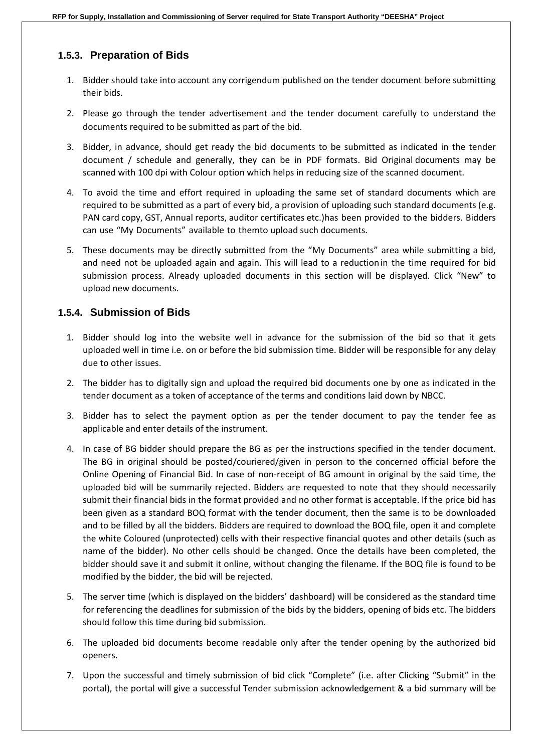#### <span id="page-8-0"></span>**1.5.3. Preparation of Bids**

- 1. Bidder should take into account any corrigendum published on the tender document before submitting their bids.
- 2. Please go through the tender advertisement and the tender document carefully to understand the documents required to be submitted as part of the bid.
- 3. Bidder, in advance, should get ready the bid documents to be submitted as indicated in the tender document / schedule and generally, they can be in PDF formats. Bid Original documents may be scanned with 100 dpi with Colour option which helps in reducing size of the scanned document.
- 4. To avoid the time and effort required in uploading the same set of standard documents which are required to be submitted as a part of every bid, a provision of uploading such standard documents (e.g. PAN card copy, GST, Annual reports, auditor certificates etc.)has been provided to the bidders. Bidders can use "My Documents" available to themto upload such documents.
- 5. These documents may be directly submitted from the "My Documents" area while submitting a bid, and need not be uploaded again and again. This will lead to a reduction in the time required for bid submission process. Already uploaded documents in this section will be displayed. Click "New" to upload new documents.

#### <span id="page-8-1"></span>**1.5.4. Submission of Bids**

- 1. Bidder should log into the website well in advance for the submission of the bid so that it gets uploaded well in time i.e. on or before the bid submission time. Bidder will be responsible for any delay due to other issues.
- 2. The bidder has to digitally sign and upload the required bid documents one by one as indicated in the tender document as a token of acceptance of the terms and conditions laid down by NBCC.
- 3. Bidder has to select the payment option as per the tender document to pay the tender fee as applicable and enter details of the instrument.
- 4. In case of BG bidder should prepare the BG as per the instructions specified in the tender document. The BG in original should be posted/couriered/given in person to the concerned official before the Online Opening of Financial Bid. In case of non-receipt of BG amount in original by the said time, the uploaded bid will be summarily rejected. Bidders are requested to note that they should necessarily submit their financial bids in the format provided and no other format is acceptable. If the price bid has been given as a standard BOQ format with the tender document, then the same is to be downloaded and to be filled by all the bidders. Bidders are required to download the BOQ file, open it and complete the white Coloured (unprotected) cells with their respective financial quotes and other details (such as name of the bidder). No other cells should be changed. Once the details have been completed, the bidder should save it and submit it online, without changing the filename. If the BOQ file is found to be modified by the bidder, the bid will be rejected.
- 5. The server time (which is displayed on the bidders' dashboard) will be considered as the standard time for referencing the deadlines for submission of the bids by the bidders, opening of bids etc. The bidders should follow this time during bid submission.
- 6. The uploaded bid documents become readable only after the tender opening by the authorized bid openers.
- 7. Upon the successful and timely submission of bid click "Complete" (i.e. after Clicking "Submit" in the portal), the portal will give a successful Tender submission acknowledgement & a bid summary will be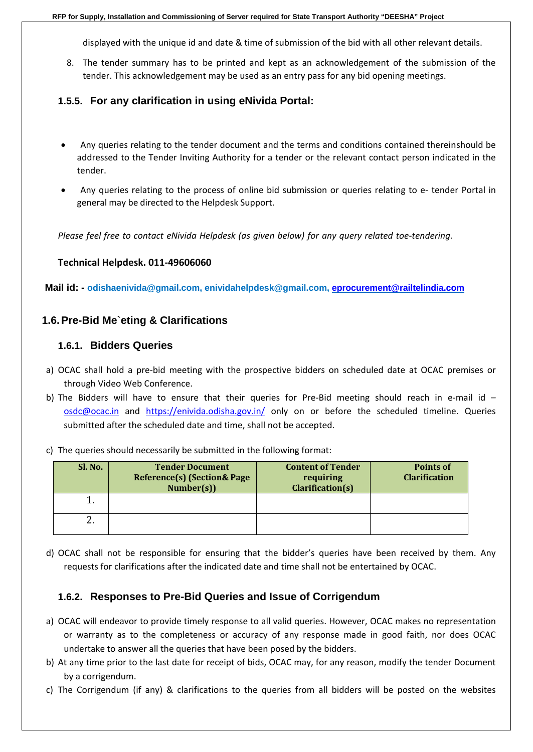displayed with the unique id and date & time of submission of the bid with all other relevant details.

8. The tender summary has to be printed and kept as an acknowledgement of the submission of the tender. This acknowledgement may be used as an entry pass for any bid opening meetings.

#### <span id="page-9-0"></span>**1.5.5. For any clarification in using eNivida Portal:**

- Any queries relating to the tender document and the terms and conditions contained thereinshould be addressed to the Tender Inviting Authority for a tender or the relevant contact person indicated in the tender.
- Any queries relating to the process of online bid submission or queries relating to e- tender Portal in general may be directed to the Helpdesk Support.

*Please feel free to contact eNivida Helpdesk (as given below) for any query related toe-tendering.*

#### **Technical Helpdesk. 011-49606060**

**Mail id: - [odishaenivida@gmail.com,](mailto:odishaenivida@gmail.com) [enividahelpdesk@gmail.com,](mailto:enividahelpdesk@gmail.com) [eprocurement@railtelindia.com](mailto:eprocurement@railtelindia.com)**

#### <span id="page-9-2"></span><span id="page-9-1"></span>**1.6.Pre-Bid Me`eting & Clarifications**

#### **1.6.1. Bidders Queries**

- a) OCAC shall hold a pre-bid meeting with the prospective bidders on scheduled date at OCAC premises or through Video Web Conference.
- b) The Bidders will have to ensure that their queries for Pre-Bid meeting should reach in e-mail id [osdc@ocac.in](mailto:osdc@ocac.in) and <https://enivida.odisha.gov.in/> only on or before the scheduled timeline. Queries submitted after the scheduled date and time, shall not be accepted.
- c) The queries should necessarily be submitted in the following format:

| Sl. No.  | <b>Tender Document</b><br><b>Reference(s) (Section &amp; Page)</b><br>Number(s) | <b>Content of Tender</b><br>requiring<br>Clarification(s) | <b>Points of</b><br><b>Clarification</b> |
|----------|---------------------------------------------------------------------------------|-----------------------------------------------------------|------------------------------------------|
|          |                                                                                 |                                                           |                                          |
| <u>.</u> |                                                                                 |                                                           |                                          |

d) OCAC shall not be responsible for ensuring that the bidder's queries have been received by them. Any requests for clarifications after the indicated date and time shall not be entertained by OCAC.

#### <span id="page-9-3"></span>**1.6.2. Responses to Pre-Bid Queries and Issue of Corrigendum**

- a) OCAC will endeavor to provide timely response to all valid queries. However, OCAC makes no representation or warranty as to the completeness or accuracy of any response made in good faith, nor does OCAC undertake to answer all the queries that have been posed by the bidders.
- b) At any time prior to the last date for receipt of bids, OCAC may, for any reason, modify the tender Document by a corrigendum.
- c) The Corrigendum (if any) & clarifications to the queries from all bidders will be posted on the websites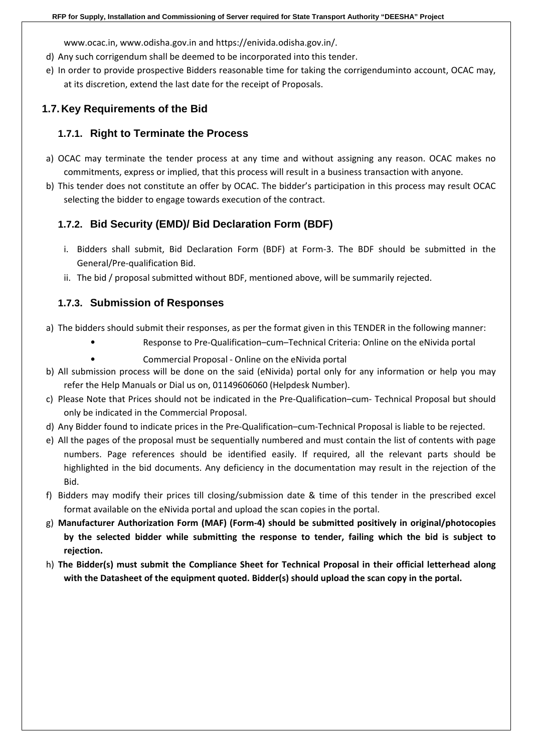www.ocac.in, www.odisha.gov.in and https://enivida.odisha.gov.in/.

- d) Any such corrigendum shall be deemed to be incorporated into this tender.
- e) In order to provide prospective Bidders reasonable time for taking the corrigenduminto account, OCAC may, at its discretion, extend the last date for the receipt of Proposals.

## <span id="page-10-1"></span><span id="page-10-0"></span>**1.7. Key Requirements of the Bid**

#### **1.7.1. Right to Terminate the Process**

- a) OCAC may terminate the tender process at any time and without assigning any reason. OCAC makes no commitments, express or implied, that this process will result in a business transaction with anyone.
- <span id="page-10-2"></span>b) This tender does not constitute an offer by OCAC. The bidder's participation in this process may result OCAC selecting the bidder to engage towards execution of the contract.

## **1.7.2. Bid Security (EMD)/ Bid Declaration Form (BDF)**

- i. Bidders shall submit, Bid Declaration Form (BDF) at Form-3. The BDF should be submitted in the General/Pre-qualification Bid.
- ii. The bid / proposal submitted without BDF, mentioned above, will be summarily rejected.

## <span id="page-10-3"></span>**1.7.3. Submission of Responses**

- a) The bidders should submit their responses, as per the format given in this TENDER in the following manner:
	- Response to Pre-Qualification–cum–Technical Criteria: Online on the eNivida portal
		- Commercial Proposal Online on the eNivida portal
- b) All submission process will be done on the said (eNivida) portal only for any information or help you may refer the Help Manuals or Dial us on, 01149606060 (Helpdesk Number).
- c) Please Note that Prices should not be indicated in the Pre-Qualification–cum- Technical Proposal but should only be indicated in the Commercial Proposal.
- d) Any Bidder found to indicate prices in the Pre-Qualification–cum-Technical Proposal is liable to be rejected.
- e) All the pages of the proposal must be sequentially numbered and must contain the list of contents with page numbers. Page references should be identified easily. If required, all the relevant parts should be highlighted in the bid documents. Any deficiency in the documentation may result in the rejection of the Bid.
- f) Bidders may modify their prices till closing/submission date & time of this tender in the prescribed excel format available on the eNivida portal and upload the scan copies in the portal.
- g) **Manufacturer Authorization Form (MAF) (Form-4) should be submitted positively in original/photocopies by the selected bidder while submitting the response to tender, failing which the bid is subject to rejection.**
- h) **The Bidder(s) must submit the Compliance Sheet for Technical Proposal in their official letterhead along with the Datasheet of the equipment quoted. Bidder(s) should upload the scan copy in the portal.**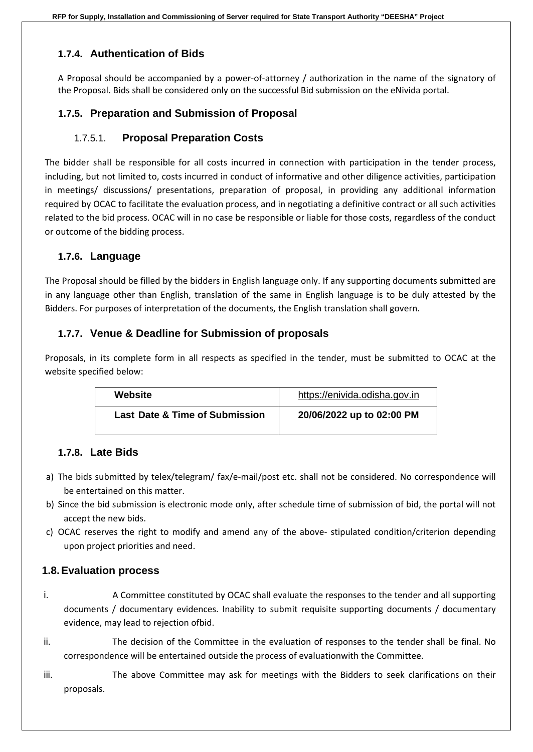## <span id="page-11-0"></span>**1.7.4. Authentication of Bids**

A Proposal should be accompanied by a power-of-attorney / authorization in the name of the signatory of the Proposal. Bids shall be considered only on the successful Bid submission on the eNivida portal.

## <span id="page-11-1"></span>**1.7.5. Preparation and Submission of Proposal**

## 1.7.5.1. **Proposal Preparation Costs**

<span id="page-11-2"></span>The bidder shall be responsible for all costs incurred in connection with participation in the tender process, including, but not limited to, costs incurred in conduct of informative and other diligence activities, participation in meetings/ discussions/ presentations, preparation of proposal, in providing any additional information required by OCAC to facilitate the evaluation process, and in negotiating a definitive contract or all such activities related to the bid process. OCAC will in no case be responsible or liable for those costs, regardless of the conduct or outcome of the bidding process.

## <span id="page-11-3"></span>**1.7.6. Language**

The Proposal should be filled by the bidders in English language only. If any supporting documents submitted are in any language other than English, translation of the same in English language is to be duly attested by the Bidders. For purposes of interpretation of the documents, the English translation shall govern.

## <span id="page-11-4"></span>**1.7.7. Venue & Deadline for Submission of proposals**

Proposals, in its complete form in all respects as specified in the tender, must be submitted to OCAC at the website specified below:

| Website                                   | https://enivida.odisha.gov.in |
|-------------------------------------------|-------------------------------|
| <b>Last Date &amp; Time of Submission</b> | 20/06/2022 up to 02:00 PM     |

#### <span id="page-11-5"></span>**1.7.8. Late Bids**

- a) The bids submitted by telex/telegram/ fax/e-mail/post etc. shall not be considered. No correspondence will be entertained on this matter.
- b) Since the bid submission is electronic mode only, after schedule time of submission of bid, the portal will not accept the new bids.
- c) OCAC reserves the right to modify and amend any of the above- stipulated condition/criterion depending upon project priorities and need.

#### <span id="page-11-6"></span>**1.8.Evaluation process**

- i. A Committee constituted by OCAC shall evaluate the responses to the tender and all supporting documents / documentary evidences. Inability to submit requisite supporting documents / documentary evidence, may lead to rejection ofbid.
- ii. The decision of the Committee in the evaluation of responses to the tender shall be final. No correspondence will be entertained outside the process of evaluationwith the Committee.
- iii. The above Committee may ask for meetings with the Bidders to seek clarifications on their proposals.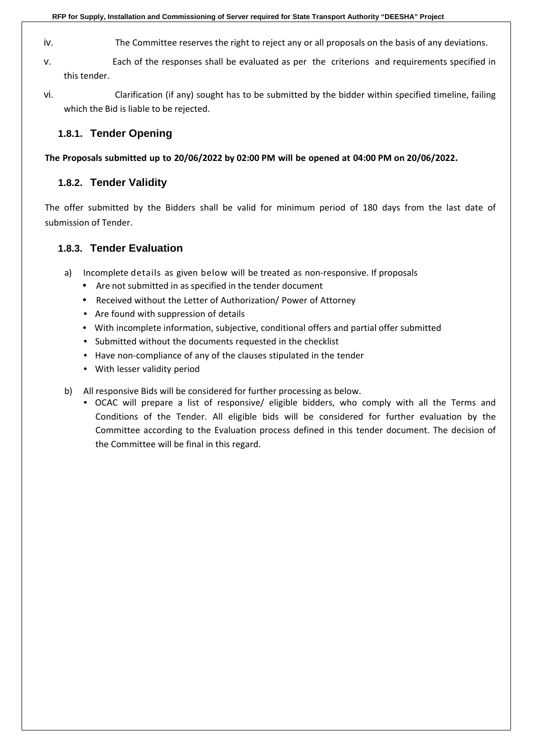- iv. The Committee reserves the right to reject any or all proposals on the basis of any deviations.
- v. Each of the responses shall be evaluated as per the criterions and requirements specified in this tender.
- <span id="page-12-0"></span>vi. Clarification (if any) sought has to be submitted by the bidder within specified timeline, failing which the Bid is liable to be rejected.

#### **1.8.1. Tender Opening**

<span id="page-12-1"></span>**The Proposals submitted up to 20/06/2022 by 02:00 PM will be opened at 04:00 PM on 20/06/2022.**

#### **1.8.2. Tender Validity**

<span id="page-12-2"></span>The offer submitted by the Bidders shall be valid for minimum period of 180 days from the last date of submission of Tender.

#### **1.8.3. Tender Evaluation**

- a) Incomplete details as given below will be treated as non-responsive. If proposals
	- Are not submitted in as specified in the tender document
	- Received without the Letter of Authorization/ Power of Attorney
	- Are found with suppression of details
	- With incomplete information, subjective, conditional offers and partial offer submitted
	- Submitted without the documents requested in the checklist
	- Have non-compliance of any of the clauses stipulated in the tender
	- With lesser validity period
- b) All responsive Bids will be considered for further processing as below.
	- OCAC will prepare a list of responsive/ eligible bidders, who comply with all the Terms and Conditions of the Tender. All eligible bids will be considered for further evaluation by the Committee according to the Evaluation process defined in this tender document. The decision of the Committee will be final in this regard.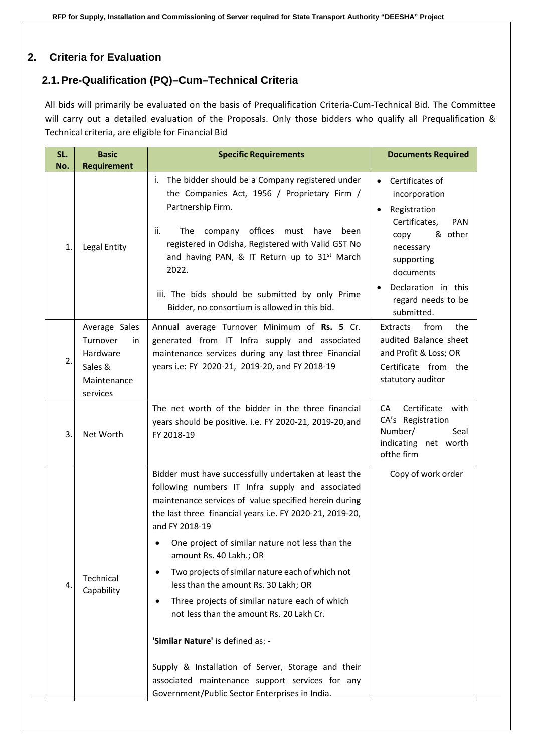## <span id="page-13-1"></span><span id="page-13-0"></span>**2. Criteria for Evaluation**

## **2.1.Pre-Qualification (PQ)–Cum–Technical Criteria**

All bids will primarily be evaluated on the basis of Prequalification Criteria-Cum-Technical Bid. The Committee will carry out a detailed evaluation of the Proposals. Only those bidders who qualify all Prequalification & Technical criteria, are eligible for Financial Bid

| SL.<br>No.     | <b>Basic</b><br><b>Requirement</b>                                                | <b>Specific Requirements</b>                                                                                                                                                                                                                                                                                                                                                                                                                                                                                                                                                                                                                                                                                                               | <b>Documents Required</b>                                                                                                                                                                                                       |
|----------------|-----------------------------------------------------------------------------------|--------------------------------------------------------------------------------------------------------------------------------------------------------------------------------------------------------------------------------------------------------------------------------------------------------------------------------------------------------------------------------------------------------------------------------------------------------------------------------------------------------------------------------------------------------------------------------------------------------------------------------------------------------------------------------------------------------------------------------------------|---------------------------------------------------------------------------------------------------------------------------------------------------------------------------------------------------------------------------------|
| $\mathbf{1}$   | Legal Entity                                                                      | The bidder should be a Company registered under<br>Τ.<br>the Companies Act, 1956 / Proprietary Firm /<br>Partnership Firm.<br>ii.<br>The company offices must<br>have<br>been<br>registered in Odisha, Registered with Valid GST No<br>and having PAN, & IT Return up to 31 <sup>st</sup> March<br>2022.<br>iii. The bids should be submitted by only Prime<br>Bidder, no consortium is allowed in this bid.                                                                                                                                                                                                                                                                                                                               | Certificates of<br>$\bullet$<br>incorporation<br>Registration<br>$\bullet$<br>Certificates,<br><b>PAN</b><br>& other<br>copy<br>necessary<br>supporting<br>documents<br>Declaration in this<br>regard needs to be<br>submitted. |
| $\overline{2}$ | Average Sales<br>Turnover<br>in<br>Hardware<br>Sales &<br>Maintenance<br>services | Annual average Turnover Minimum of Rs. 5 Cr.<br>generated from IT Infra supply and associated<br>maintenance services during any last three Financial<br>years i.e: FY 2020-21, 2019-20, and FY 2018-19                                                                                                                                                                                                                                                                                                                                                                                                                                                                                                                                    | Extracts<br>from<br>the<br>audited Balance sheet<br>and Profit & Loss; OR<br>Certificate from the<br>statutory auditor                                                                                                          |
| 3.             | Net Worth                                                                         | The net worth of the bidder in the three financial<br>years should be positive. i.e. FY 2020-21, 2019-20, and<br>FY 2018-19                                                                                                                                                                                                                                                                                                                                                                                                                                                                                                                                                                                                                | Certificate with<br>CA.<br>CA's Registration<br>Number/<br>Seal<br>indicating net worth<br>ofthe firm                                                                                                                           |
| 4.             | Technical<br>Capability                                                           | Bidder must have successfully undertaken at least the<br>following numbers IT Infra supply and associated<br>maintenance services of value specified herein during<br>the last three financial years i.e. FY 2020-21, 2019-20,<br>and FY 2018-19<br>One project of similar nature not less than the<br>amount Rs. 40 Lakh.; OR<br>Two projects of similar nature each of which not<br>$\bullet$<br>less than the amount Rs. 30 Lakh; OR<br>Three projects of similar nature each of which<br>٠<br>not less than the amount Rs. 20 Lakh Cr.<br>'Similar Nature' is defined as: -<br>Supply & Installation of Server, Storage and their<br>associated maintenance support services for any<br>Government/Public Sector Enterprises in India. | Copy of work order                                                                                                                                                                                                              |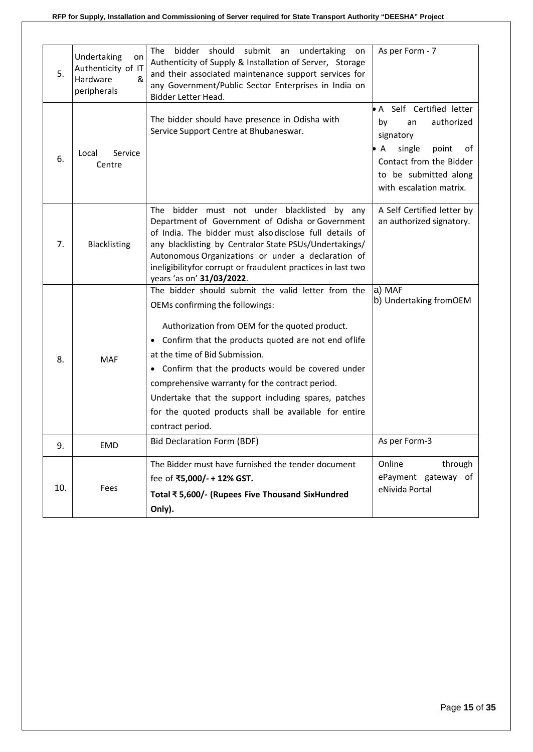| 5.  | Undertaking<br>on<br>Authenticity of IT<br>Hardware<br>&<br>peripherals | <b>The</b><br>bidder<br>should<br>submit<br>an<br>undertaking<br>on<br>Authenticity of Supply & Installation of Server, Storage<br>and their associated maintenance support services for<br>any Government/Public Sector Enterprises in India on<br>Bidder Letter Head.                                                                                                                                                                                                          | As per Form - 7                                                                                                                                                                          |
|-----|-------------------------------------------------------------------------|----------------------------------------------------------------------------------------------------------------------------------------------------------------------------------------------------------------------------------------------------------------------------------------------------------------------------------------------------------------------------------------------------------------------------------------------------------------------------------|------------------------------------------------------------------------------------------------------------------------------------------------------------------------------------------|
| 6.  | Local<br>Service<br>Centre                                              | The bidder should have presence in Odisha with<br>Service Support Centre at Bhubaneswar.                                                                                                                                                                                                                                                                                                                                                                                         | • A Self Certified letter<br>authorized<br>by<br>an<br>signatory<br>single<br>$\mathsf{A}$<br>point<br>ot<br>Contact from the Bidder<br>to be submitted along<br>with escalation matrix. |
| 7.  | Blacklisting                                                            | bidder must not under blacklisted by any<br>The<br>Department of Government of Odisha or Government<br>of India. The bidder must also disclose full details of<br>any blacklisting by Centralor State PSUs/Undertakings/<br>Autonomous Organizations or under a declaration of<br>ineligibilityfor corrupt or fraudulent practices in last two<br>years 'as on' 31/03/2022.                                                                                                      | A Self Certified letter by<br>an authorized signatory.                                                                                                                                   |
| 8.  | <b>MAF</b>                                                              | The bidder should submit the valid letter from the<br>OEMs confirming the followings:<br>Authorization from OEM for the quoted product.<br>• Confirm that the products quoted are not end oflife<br>at the time of Bid Submission.<br>• Confirm that the products would be covered under<br>comprehensive warranty for the contract period.<br>Undertake that the support including spares, patches<br>for the quoted products shall be available for entire<br>contract period. | a) MAF<br>b) Undertaking fromOEM                                                                                                                                                         |
| 9.  | <b>EMD</b>                                                              | Bid Declaration Form (BDF)                                                                                                                                                                                                                                                                                                                                                                                                                                                       | As per Form-3                                                                                                                                                                            |
| 10. | Fees                                                                    | The Bidder must have furnished the tender document<br>fee of ₹5,000/- + 12% GST.<br>Total ₹5,600/- (Rupees Five Thousand SixHundred<br>Only).                                                                                                                                                                                                                                                                                                                                    | Online<br>through<br>ePayment gateway of<br>eNivida Portal                                                                                                                               |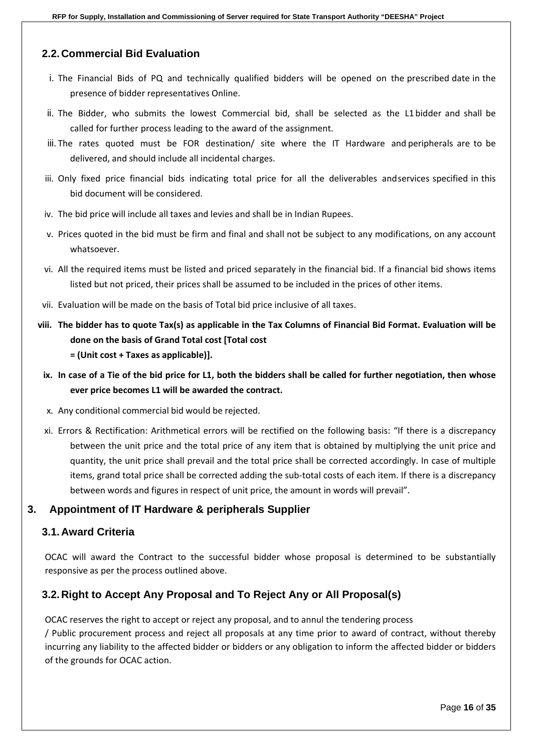#### <span id="page-15-0"></span>**2.2. Commercial Bid Evaluation**

- i. The Financial Bids of PQ and technically qualified bidders will be opened on the prescribed date in the presence of bidder representatives Online.
- ii. The Bidder, who submits the lowest Commercial bid, shall be selected as the L1 bidder and shall be called for further process leading to the award of the assignment.
- iii. The rates quoted must be FOR destination/ site where the IT Hardware and peripherals are to be delivered, and should include all incidental charges.
- iii. Only fixed price financial bids indicating total price for all the deliverables andservices specified in this bid document will be considered.
- iv. The bid price will include all taxes and levies and shall be in Indian Rupees.
- v. Prices quoted in the bid must be firm and final and shall not be subject to any modifications, on any account whatsoever.
- vi. All the required items must be listed and priced separately in the financial bid. If a financial bid shows items listed but not priced, their prices shall be assumed to be included in the prices of other items.
- vii. Evaluation will be made on the basis of Total bid price inclusive of all taxes.
- **viii. The bidder has to quote Tax(s) as applicable in the Tax Columns of Financial Bid Format. Evaluation will be done on the basis of Grand Total cost [Total cost = (Unit cost + Taxes as applicable)].**
	- **ix. In case of a Tie of the bid price for L1, both the bidders shall be called for further negotiation, then whose ever price becomes L1 will be awarded the contract.**
	- x. Any conditional commercial bid would be rejected.
	- xi. Errors & Rectification: Arithmetical errors will be rectified on the following basis: "If there is a discrepancy between the unit price and the total price of any item that is obtained by multiplying the unit price and quantity, the unit price shall prevail and the total price shall be corrected accordingly. In case of multiple items, grand total price shall be corrected adding the sub-total costs of each item. If there is a discrepancy between words and figures in respect of unit price, the amount in words will prevail".

#### <span id="page-15-2"></span><span id="page-15-1"></span>**3. Appointment of IT Hardware & peripherals Supplier**

#### **3.1. Award Criteria**

OCAC will award the Contract to the successful bidder whose proposal is determined to be substantially responsive as per the process outlined above.

#### <span id="page-15-3"></span>**3.2. Right to Accept Any Proposal and To Reject Any or All Proposal(s)**

OCAC reserves the right to accept or reject any proposal, and to annul the tendering process / Public procurement process and reject all proposals at any time prior to award of contract, without thereby incurring any liability to the affected bidder or bidders or any obligation to inform the affected bidder or bidders of the grounds for OCAC action.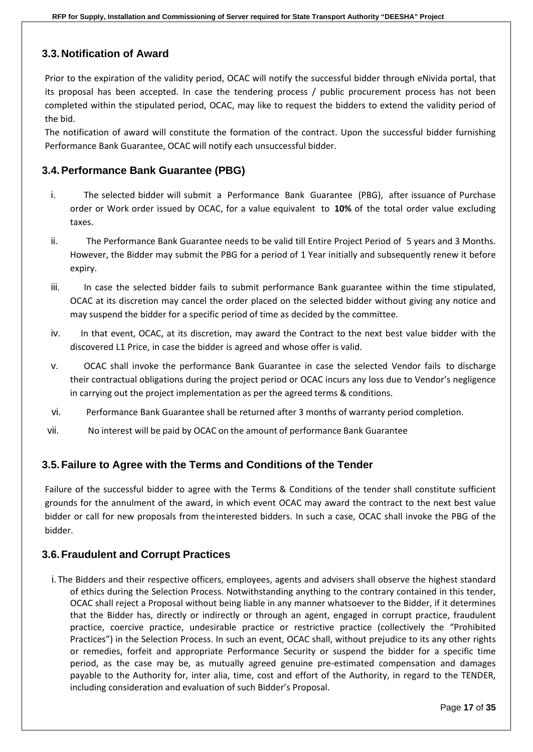#### <span id="page-16-0"></span>**3.3. Notification of Award**

Prior to the expiration of the validity period, OCAC will notify the successful bidder through eNivida portal, that its proposal has been accepted. In case the tendering process / public procurement process has not been completed within the stipulated period, OCAC, may like to request the bidders to extend the validity period of the bid.

The notification of award will constitute the formation of the contract. Upon the successful bidder furnishing Performance Bank Guarantee, OCAC will notify each unsuccessful bidder.

#### <span id="page-16-1"></span>**3.4.Performance Bank Guarantee (PBG)**

- i. The selected bidder will submit a Performance Bank Guarantee (PBG), after issuance of Purchase order or Work order issued by OCAC, for a value equivalent to **10%** of the total order value excluding taxes.
- ii. The Performance Bank Guarantee needs to be valid till Entire Project Period of 5 years and 3 Months. However, the Bidder may submit the PBG for a period of 1 Year initially and subsequently renew it before expiry.
- iii. In case the selected bidder fails to submit performance Bank guarantee within the time stipulated, OCAC at its discretion may cancel the order placed on the selected bidder without giving any notice and may suspend the bidder for a specific period of time as decided by the committee.
- iv. In that event, OCAC, at its discretion, may award the Contract to the next best value bidder with the discovered L1 Price, in case the bidder is agreed and whose offer is valid.
- v. OCAC shall invoke the performance Bank Guarantee in case the selected Vendor fails to discharge their contractual obligations during the project period or OCAC incurs any loss due to Vendor's negligence in carrying out the project implementation as per the agreed terms & conditions.
- vi. Performance Bank Guarantee shall be returned after 3 months of warranty period completion.
- vii. No interest will be paid by OCAC on the amount of performance Bank Guarantee

#### <span id="page-16-2"></span>**3.5.Failure to Agree with the Terms and Conditions of the Tender**

Failure of the successful bidder to agree with the Terms & Conditions of the tender shall constitute sufficient grounds for the annulment of the award, in which event OCAC may award the contract to the next best value bidder or call for new proposals from theinterested bidders. In such a case, OCAC shall invoke the PBG of the bidder.

#### <span id="page-16-3"></span>**3.6.Fraudulent and Corrupt Practices**

i. The Bidders and their respective officers, employees, agents and advisers shall observe the highest standard of ethics during the Selection Process. Notwithstanding anything to the contrary contained in this tender, OCAC shall reject a Proposal without being liable in any manner whatsoever to the Bidder, if it determines that the Bidder has, directly or indirectly or through an agent, engaged in corrupt practice, fraudulent practice, coercive practice, undesirable practice or restrictive practice (collectively the "Prohibited Practices") in the Selection Process. In such an event, OCAC shall, without prejudice to its any other rights or remedies, forfeit and appropriate Performance Security or suspend the bidder for a specific time period, as the case may be, as mutually agreed genuine pre-estimated compensation and damages payable to the Authority for, inter alia, time, cost and effort of the Authority, in regard to the TENDER, including consideration and evaluation of such Bidder's Proposal.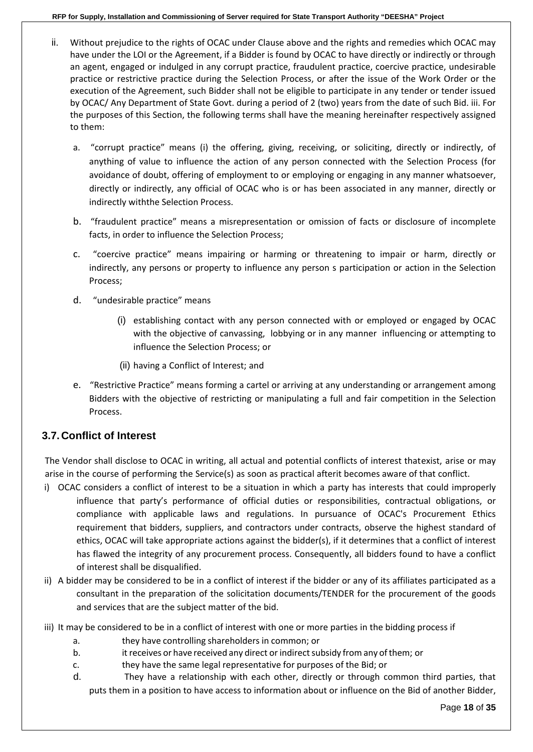- ii. Without prejudice to the rights of OCAC under Clause above and the rights and remedies which OCAC may have under the LOI or the Agreement, if a Bidder is found by OCAC to have directly or indirectly or through an agent, engaged or indulged in any corrupt practice, fraudulent practice, coercive practice, undesirable practice or restrictive practice during the Selection Process, or after the issue of the Work Order or the execution of the Agreement, such Bidder shall not be eligible to participate in any tender or tender issued by OCAC/ Any Department of State Govt. during a period of 2 (two) years from the date of such Bid. iii. For the purposes of this Section, the following terms shall have the meaning hereinafter respectively assigned to them:
	- a. "corrupt practice" means (i) the offering, giving, receiving, or soliciting, directly or indirectly, of anything of value to influence the action of any person connected with the Selection Process (for avoidance of doubt, offering of employment to or employing or engaging in any manner whatsoever, directly or indirectly, any official of OCAC who is or has been associated in any manner, directly or indirectly withthe Selection Process.
	- b. "fraudulent practice" means a misrepresentation or omission of facts or disclosure of incomplete facts, in order to influence the Selection Process;
	- c. "coercive practice" means impairing or harming or threatening to impair or harm, directly or indirectly, any persons or property to influence any person s participation or action in the Selection Process;
	- d. "undesirable practice" means
		- (i) establishing contact with any person connected with or employed or engaged by OCAC with the objective of canvassing, lobbying or in any manner influencing or attempting to influence the Selection Process; or
		- (ii) having a Conflict of Interest; and
	- e. "Restrictive Practice" means forming a cartel or arriving at any understanding or arrangement among Bidders with the objective of restricting or manipulating a full and fair competition in the Selection Process.

#### <span id="page-17-0"></span>**3.7. Conflict of Interest**

The Vendor shall disclose to OCAC in writing, all actual and potential conflicts of interest thatexist, arise or may arise in the course of performing the Service(s) as soon as practical afterit becomes aware of that conflict.

- i) OCAC considers a conflict of interest to be a situation in which a party has interests that could improperly influence that party's performance of official duties or responsibilities, contractual obligations, or compliance with applicable laws and regulations. In pursuance of OCAC's Procurement Ethics requirement that bidders, suppliers, and contractors under contracts, observe the highest standard of ethics, OCAC will take appropriate actions against the bidder(s), if it determines that a conflict of interest has flawed the integrity of any procurement process. Consequently, all bidders found to have a conflict of interest shall be disqualified.
- ii) A bidder may be considered to be in a conflict of interest if the bidder or any of its affiliates participated as a consultant in the preparation of the solicitation documents/TENDER for the procurement of the goods and services that are the subject matter of the bid.
- iii) It may be considered to be in a conflict of interest with one or more parties in the bidding process if
	- a. they have controlling shareholders in common; or
	- b. it receives or have received any direct or indirect subsidy from any of them; or
	- c. they have the same legal representative for purposes of the Bid; or
	- d. They have a relationship with each other, directly or through common third parties, that puts them in a position to have access to information about or influence on the Bid of another Bidder,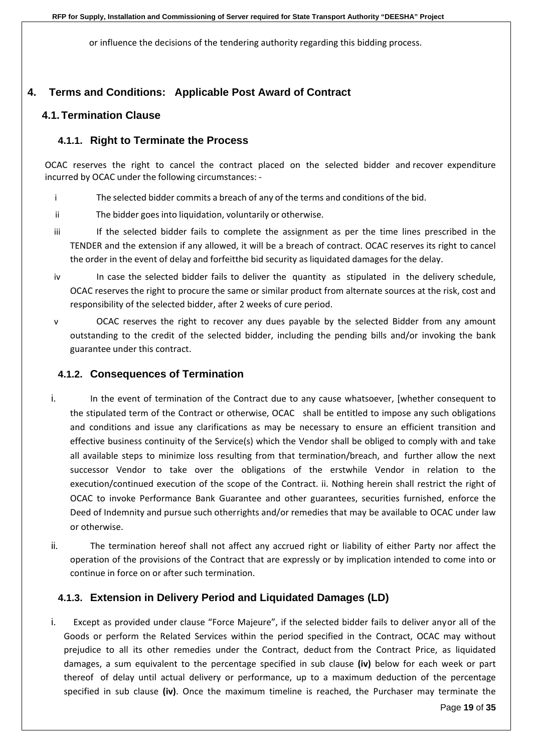or influence the decisions of the tendering authority regarding this bidding process.

### <span id="page-18-1"></span><span id="page-18-0"></span>**4. Terms and Conditions: Applicable Post Award of Contract**

#### <span id="page-18-2"></span>**4.1.Termination Clause**

#### **4.1.1. Right to Terminate the Process**

OCAC reserves the right to cancel the contract placed on the selected bidder and recover expenditure incurred by OCAC under the following circumstances: -

- i The selected bidder commits a breach of any of the terms and conditions of the bid.
- ii The bidder goes into liquidation, voluntarily or otherwise.
- iii If the selected bidder fails to complete the assignment as per the time lines prescribed in the TENDER and the extension if any allowed, it will be a breach of contract. OCAC reserves its right to cancel the order in the event of delay and forfeitthe bid security as liquidated damages for the delay.
- iv In case the selected bidder fails to deliver the quantity as stipulated in the delivery schedule, OCAC reserves the right to procure the same or similar product from alternate sources at the risk, cost and responsibility of the selected bidder, after 2 weeks of cure period.
- v OCAC reserves the right to recover any dues payable by the selected Bidder from any amount outstanding to the credit of the selected bidder, including the pending bills and/or invoking the bank guarantee under this contract.

#### <span id="page-18-3"></span>**4.1.2. Consequences of Termination**

- i. In the event of termination of the Contract due to any cause whatsoever, [whether consequent to the stipulated term of the Contract or otherwise, OCAC shall be entitled to impose any such obligations and conditions and issue any clarifications as may be necessary to ensure an efficient transition and effective business continuity of the Service(s) which the Vendor shall be obliged to comply with and take all available steps to minimize loss resulting from that termination/breach, and further allow the next successor Vendor to take over the obligations of the erstwhile Vendor in relation to the execution/continued execution of the scope of the Contract. ii. Nothing herein shall restrict the right of OCAC to invoke Performance Bank Guarantee and other guarantees, securities furnished, enforce the Deed of Indemnity and pursue such otherrights and/or remedies that may be available to OCAC under law or otherwise.
- ii. The termination hereof shall not affect any accrued right or liability of either Party nor affect the operation of the provisions of the Contract that are expressly or by implication intended to come into or continue in force on or after such termination.

#### <span id="page-18-4"></span>**4.1.3. Extension in Delivery Period and Liquidated Damages (LD)**

i. Except as provided under clause "Force Majeure", if the selected bidder fails to deliver anyor all of the Goods or perform the Related Services within the period specified in the Contract, OCAC may without prejudice to all its other remedies under the Contract, deduct from the Contract Price, as liquidated damages, a sum equivalent to the percentage specified in sub clause **(iv)** below for each week or part thereof of delay until actual delivery or performance, up to a maximum deduction of the percentage specified in sub clause **(iv)**. Once the maximum timeline is reached, the Purchaser may terminate the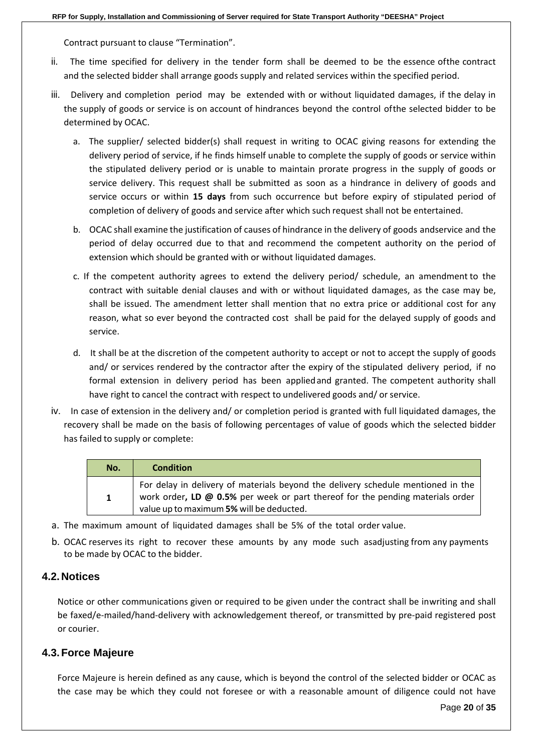Contract pursuant to clause "Termination".

- ii. The time specified for delivery in the tender form shall be deemed to be the essence ofthe contract and the selected bidder shall arrange goods supply and related services within the specified period.
- iii. Delivery and completion period may be extended with or without liquidated damages, if the delay in the supply of goods or service is on account of hindrances beyond the control ofthe selected bidder to be determined by OCAC.
	- a. The supplier/ selected bidder(s) shall request in writing to OCAC giving reasons for extending the delivery period of service, if he finds himself unable to complete the supply of goods or service within the stipulated delivery period or is unable to maintain prorate progress in the supply of goods or service delivery. This request shall be submitted as soon as a hindrance in delivery of goods and service occurs or within **15 days** from such occurrence but before expiry of stipulated period of completion of delivery of goods and service after which such request shall not be entertained.
	- b. OCAC shall examine the justification of causes of hindrance in the delivery of goods andservice and the period of delay occurred due to that and recommend the competent authority on the period of extension which should be granted with or without liquidated damages.
	- c. If the competent authority agrees to extend the delivery period/ schedule, an amendment to the contract with suitable denial clauses and with or without liquidated damages, as the case may be, shall be issued. The amendment letter shall mention that no extra price or additional cost for any reason, what so ever beyond the contracted cost shall be paid for the delayed supply of goods and service.
	- d. It shall be at the discretion of the competent authority to accept or not to accept the supply of goods and/ or services rendered by the contractor after the expiry of the stipulated delivery period, if no formal extension in delivery period has been appliedand granted. The competent authority shall have right to cancel the contract with respect to undelivered goods and/ or service.
- iv. In case of extension in the delivery and/ or completion period is granted with full liquidated damages, the recovery shall be made on the basis of following percentages of value of goods which the selected bidder has failed to supply or complete:

| No.         | <b>Condition</b>                                                                                                                                                                                               |
|-------------|----------------------------------------------------------------------------------------------------------------------------------------------------------------------------------------------------------------|
| $\mathbf 1$ | For delay in delivery of materials beyond the delivery schedule mentioned in the<br>work order, LD @ 0.5% per week or part thereof for the pending materials order<br>value up to maximum 5% will be deducted. |

- a. The maximum amount of liquidated damages shall be 5% of the total order value.
- b. OCAC reserves its right to recover these amounts by any mode such asadjusting from any payments to be made by OCAC to the bidder.

#### <span id="page-19-0"></span>**4.2. Notices**

Notice or other communications given or required to be given under the contract shall be inwriting and shall be faxed/e-mailed/hand-delivery with acknowledgement thereof, or transmitted by pre-paid registered post or courier.

#### <span id="page-19-1"></span>**4.3.Force Majeure**

Force Majeure is herein defined as any cause, which is beyond the control of the selected bidder or OCAC as the case may be which they could not foresee or with a reasonable amount of diligence could not have

Page **20** of **35**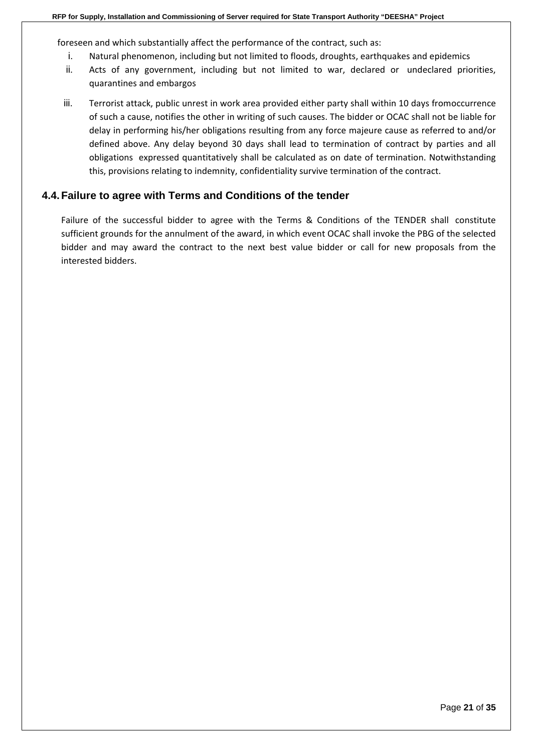foreseen and which substantially affect the performance of the contract, such as:

- i. Natural phenomenon, including but not limited to floods, droughts, earthquakes and epidemics
- ii. Acts of any government, including but not limited to war, declared or undeclared priorities, quarantines and embargos
- iii. Terrorist attack, public unrest in work area provided either party shall within 10 days fromoccurrence of such a cause, notifies the other in writing of such causes. The bidder or OCAC shall not be liable for delay in performing his/her obligations resulting from any force majeure cause as referred to and/or defined above. Any delay beyond 30 days shall lead to termination of contract by parties and all obligations expressed quantitatively shall be calculated as on date of termination. Notwithstanding this, provisions relating to indemnity, confidentiality survive termination of the contract.

#### <span id="page-20-0"></span>**4.4.Failure to agree with Terms and Conditions of the tender**

Failure of the successful bidder to agree with the Terms & Conditions of the TENDER shall constitute sufficient grounds for the annulment of the award, in which event OCAC shall invoke the PBG of the selected bidder and may award the contract to the next best value bidder or call for new proposals from the interested bidders.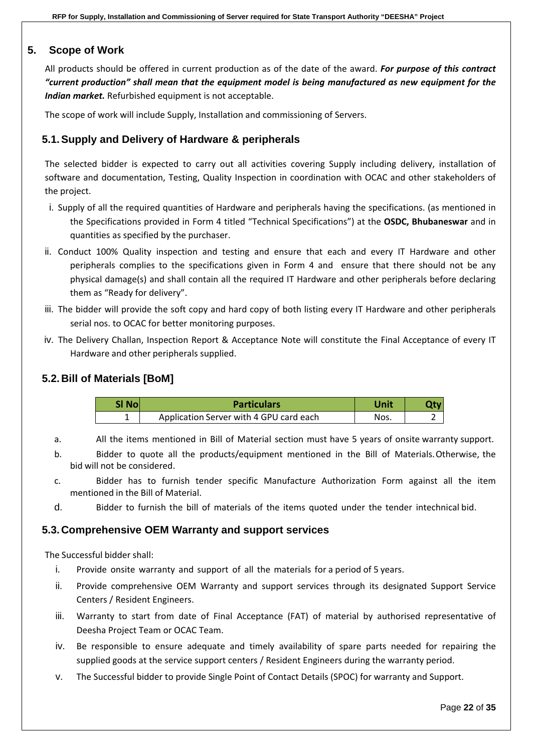#### <span id="page-21-0"></span>**5. Scope of Work**

All products should be offered in current production as of the date of the award. *For purpose of this contract "current production" shall mean that the equipment model is being manufactured as new equipment for the Indian market.* Refurbished equipment is not acceptable.

The scope of work will include Supply, Installation and commissioning of Servers.

#### <span id="page-21-1"></span>**5.1.Supply and Delivery of Hardware & peripherals**

The selected bidder is expected to carry out all activities covering Supply including delivery, installation of software and documentation, Testing, Quality Inspection in coordination with OCAC and other stakeholders of the project.

- i. Supply of all the required quantities of Hardware and peripherals having the specifications. (as mentioned in the Specifications provided in Form 4 titled "Technical Specifications") at the **OSDC, Bhubaneswar** and in quantities as specified by the purchaser.
- ii. Conduct 100% Quality inspection and testing and ensure that each and every IT Hardware and other peripherals complies to the specifications given in Form 4 and ensure that there should not be any physical damage(s) and shall contain all the required IT Hardware and other peripherals before declaring them as "Ready for delivery".
- iii. The bidder will provide the soft copy and hard copy of both listing every IT Hardware and other peripherals serial nos. to OCAC for better monitoring purposes.
- iv. The Delivery Challan, Inspection Report & Acceptance Note will constitute the Final Acceptance of every IT Hardware and other peripherals supplied.

#### <span id="page-21-2"></span>**5.2. Bill of Materials [BoM]**

| SI Nol | <b>Particulars</b>                      | Unit |  |
|--------|-----------------------------------------|------|--|
|        | Application Server with 4 GPU card each | Nos. |  |

a. All the items mentioned in Bill of Material section must have 5 years of onsite warranty support.

- b. Bidder to quote all the products/equipment mentioned in the Bill of Materials.Otherwise, the bid will not be considered.
- c. Bidder has to furnish tender specific Manufacture Authorization Form against all the item mentioned in the Bill of Material.
- d. Bidder to furnish the bill of materials of the items quoted under the tender intechnical bid.

#### <span id="page-21-3"></span>**5.3. Comprehensive OEM Warranty and support services**

The Successful bidder shall:

- i. Provide onsite warranty and support of all the materials for a period of 5 years.
- ii. Provide comprehensive OEM Warranty and support services through its designated Support Service Centers / Resident Engineers.
- iii. Warranty to start from date of Final Acceptance (FAT) of material by authorised representative of Deesha Project Team or OCAC Team.
- iv. Be responsible to ensure adequate and timely availability of spare parts needed for repairing the supplied goods at the service support centers / Resident Engineers during the warranty period.
- v. The Successful bidder to provide Single Point of Contact Details (SPOC) for warranty and Support.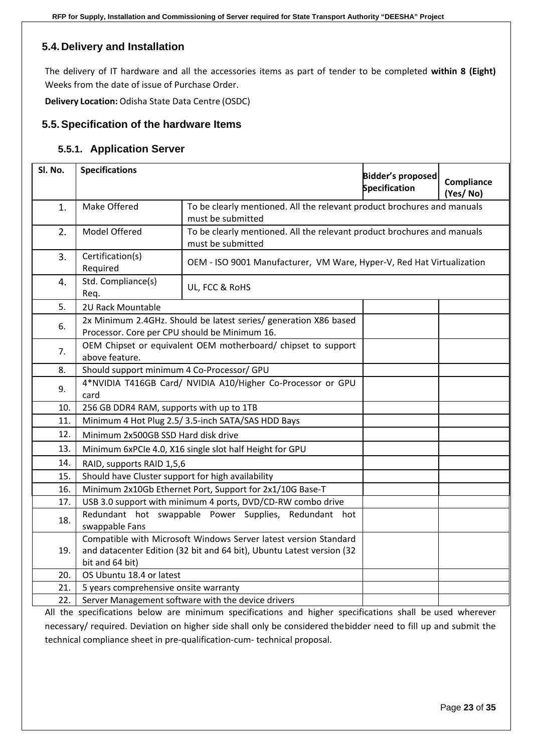### <span id="page-22-0"></span>**5.4. Delivery and Installation**

The delivery of IT hardware and all the accessories items as part of tender to be completed **within 8 (Eight)** Weeks from the date of issue of Purchase Order.

**Delivery Location:** Odisha State Data Centre (OSDC)

#### <span id="page-22-1"></span>**5.5.Specification of the hardware Items**

#### **5.5.1. Application Server**

| Sl. No. | <b>Specifications</b>                                                                                                                                        |  | <b>Bidder's proposed</b><br><b>Specification</b> | Compliance<br>(Yes/No) |  |
|---------|--------------------------------------------------------------------------------------------------------------------------------------------------------------|--|--------------------------------------------------|------------------------|--|
| 1.      | Make Offered<br>To be clearly mentioned. All the relevant product brochures and manuals<br>must be submitted                                                 |  |                                                  |                        |  |
| 2.      | Model Offered<br>To be clearly mentioned. All the relevant product brochures and manuals<br>must be submitted                                                |  |                                                  |                        |  |
| 3.      | Certification(s)<br>OEM - ISO 9001 Manufacturer, VM Ware, Hyper-V, Red Hat Virtualization<br>Required                                                        |  |                                                  |                        |  |
| 4.      | Std. Compliance(s)<br>UL, FCC & RoHS<br>Req.                                                                                                                 |  |                                                  |                        |  |
| 5.      | 2U Rack Mountable                                                                                                                                            |  |                                                  |                        |  |
| 6.      | 2x Minimum 2.4GHz. Should be latest series/ generation X86 based<br>Processor. Core per CPU should be Minimum 16.                                            |  |                                                  |                        |  |
| 7.      | OEM Chipset or equivalent OEM motherboard/ chipset to support<br>above feature.                                                                              |  |                                                  |                        |  |
| 8.      | Should support minimum 4 Co-Processor/ GPU                                                                                                                   |  |                                                  |                        |  |
| 9.      | 4*NVIDIA T416GB Card/ NVIDIA A10/Higher Co-Processor or GPU<br>card                                                                                          |  |                                                  |                        |  |
| 10.     | 256 GB DDR4 RAM, supports with up to 1TB                                                                                                                     |  |                                                  |                        |  |
| 11.     | Minimum 4 Hot Plug 2.5/ 3.5-inch SATA/SAS HDD Bays                                                                                                           |  |                                                  |                        |  |
| 12.     | Minimum 2x500GB SSD Hard disk drive                                                                                                                          |  |                                                  |                        |  |
| 13.     | Minimum 6xPCIe 4.0, X16 single slot half Height for GPU                                                                                                      |  |                                                  |                        |  |
| 14.     | RAID, supports RAID 1,5,6                                                                                                                                    |  |                                                  |                        |  |
| 15.     | Should have Cluster support for high availability                                                                                                            |  |                                                  |                        |  |
| 16.     | Minimum 2x10Gb Ethernet Port, Support for 2x1/10G Base-T                                                                                                     |  |                                                  |                        |  |
| 17.     | USB 3.0 support with minimum 4 ports, DVD/CD-RW combo drive                                                                                                  |  |                                                  |                        |  |
| 18.     | Redundant hot swappable Power Supplies, Redundant hot<br>swappable Fans                                                                                      |  |                                                  |                        |  |
| 19.     | Compatible with Microsoft Windows Server latest version Standard<br>and datacenter Edition (32 bit and 64 bit), Ubuntu Latest version (32<br>bit and 64 bit) |  |                                                  |                        |  |
| 20.     | OS Ubuntu 18.4 or latest                                                                                                                                     |  |                                                  |                        |  |
| 21.     | 5 years comprehensive onsite warranty                                                                                                                        |  |                                                  |                        |  |
| 22.     | Server Management software with the device drivers                                                                                                           |  |                                                  |                        |  |

All the specifications below are minimum specifications and higher specifications shall be used wherever necessary/ required. Deviation on higher side shall only be considered thebidder need to fill up and submit the technical compliance sheet in pre-qualification-cum- technical proposal.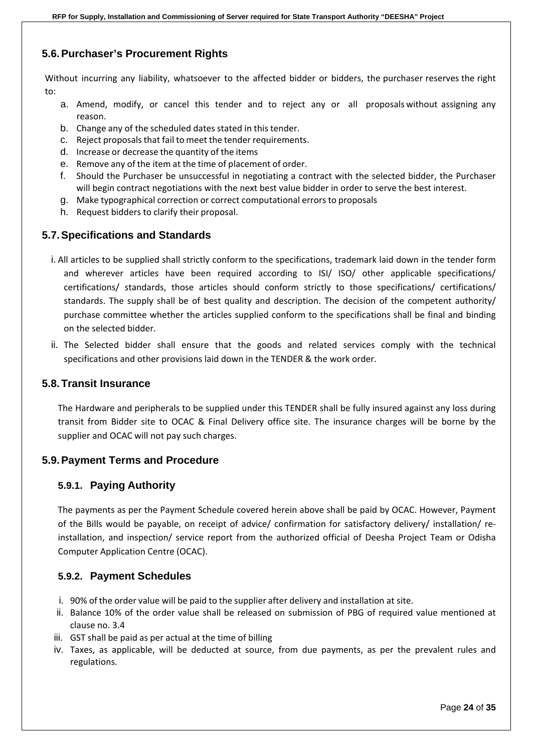### <span id="page-23-0"></span>**5.6.Purchaser's Procurement Rights**

Without incurring any liability, whatsoever to the affected bidder or bidders, the purchaser reserves the right to:

- a. Amend, modify, or cancel this tender and to reject any or all proposals without assigning any reason.
- b. Change any of the scheduled dates stated in this tender.
- c. Reject proposals that fail to meet the tender requirements.
- d. Increase or decrease the quantity of the items
- e. Remove any of the item at the time of placement of order.
- f. Should the Purchaser be unsuccessful in negotiating a contract with the selected bidder, the Purchaser will begin contract negotiations with the next best value bidder in order to serve the best interest.
- g. Make typographical correction or correct computational errorsto proposals
- h. Request bidders to clarify their proposal.

#### <span id="page-23-1"></span>**5.7.Specifications and Standards**

- i. All articles to be supplied shall strictly conform to the specifications, trademark laid down in the tender form and wherever articles have been required according to ISI/ ISO/ other applicable specifications/ certifications/ standards, those articles should conform strictly to those specifications/ certifications/ standards. The supply shall be of best quality and description. The decision of the competent authority/ purchase committee whether the articles supplied conform to the specifications shall be final and binding on the selected bidder.
- ii. The Selected bidder shall ensure that the goods and related services comply with the technical specifications and other provisions laid down in the TENDER & the work order.

#### <span id="page-23-2"></span>**5.8.Transit Insurance**

The Hardware and peripherals to be supplied under this TENDER shall be fully insured against any loss during transit from Bidder site to OCAC & Final Delivery office site. The insurance charges will be borne by the supplier and OCAC will not pay such charges.

#### <span id="page-23-4"></span><span id="page-23-3"></span>**5.9.Payment Terms and Procedure**

#### **5.9.1. Paying Authority**

The payments as per the Payment Schedule covered herein above shall be paid by OCAC. However, Payment of the Bills would be payable, on receipt of advice/ confirmation for satisfactory delivery/ installation/ reinstallation, and inspection/ service report from the authorized official of Deesha Project Team or Odisha Computer Application Centre (OCAC).

#### <span id="page-23-5"></span>**5.9.2. Payment Schedules**

- i. 90% of the order value will be paid to the supplier after delivery and installation at site.
- ii. Balance 10% of the order value shall be released on submission of PBG of required value mentioned at clause no. 3.4
- iii. GST shall be paid as per actual at the time of billing
- iv. Taxes, as applicable, will be deducted at source, from due payments, as per the prevalent rules and regulations.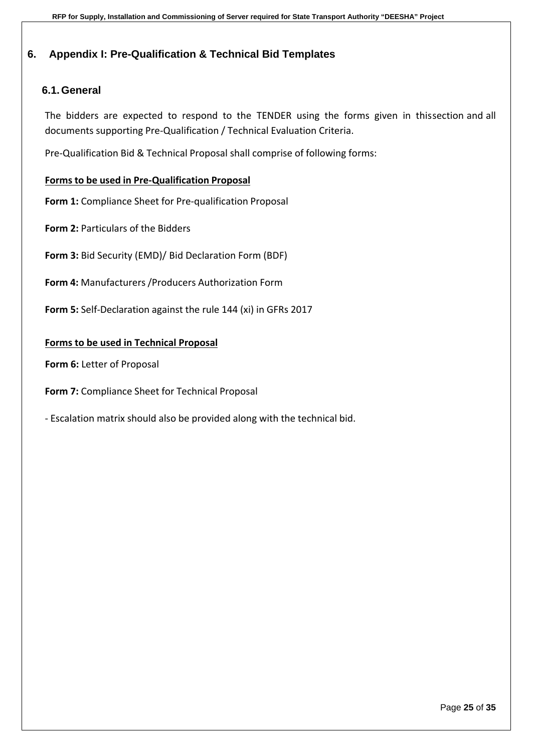## <span id="page-24-0"></span>**6. Appendix I: Pre-Qualification & Technical Bid Templates**

## <span id="page-24-1"></span>**6.1.General**

The bidders are expected to respond to the TENDER using the forms given in thissection and all documents supporting Pre-Qualification / Technical Evaluation Criteria.

Pre-Qualification Bid & Technical Proposal shall comprise of following forms:

#### **Forms to be used in Pre-Qualification Proposal**

**Form 1:** Compliance Sheet for Pre-qualification Proposal

- **Form 2:** Particulars of the Bidders
- **Form 3:** Bid Security (EMD)/ Bid Declaration Form (BDF)
- **Form 4:** Manufacturers /Producers Authorization Form
- **Form 5:** Self-Declaration against the rule 144 (xi) in GFRs 2017

#### **Forms to be used in Technical Proposal**

- **Form 6:** Letter of Proposal
- **Form 7:** Compliance Sheet for Technical Proposal
- Escalation matrix should also be provided along with the technical bid.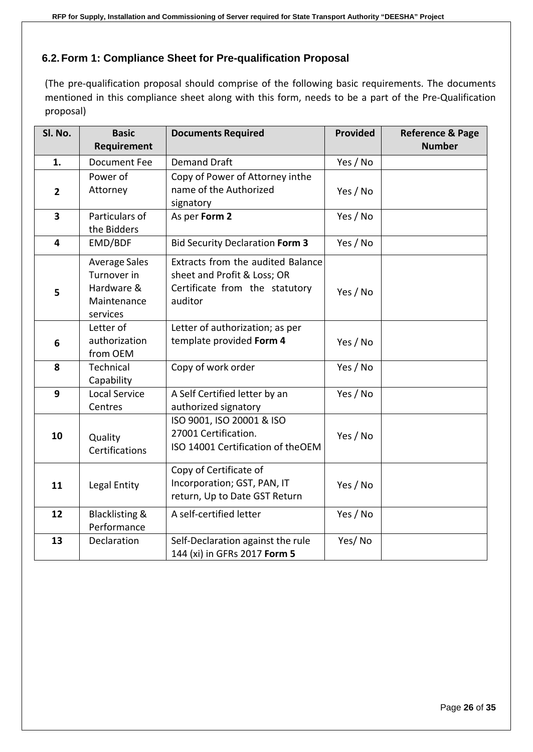## <span id="page-25-0"></span>**6.2.Form 1: Compliance Sheet for Pre-qualification Proposal**

(The pre-qualification proposal should comprise of the following basic requirements. The documents mentioned in this compliance sheet along with this form, needs to be a part of the Pre-Qualification proposal)

| Sl. No.        | <b>Basic</b>                                                                 | <b>Documents Required</b>                                                                                     | Provided | <b>Reference &amp; Page</b> |
|----------------|------------------------------------------------------------------------------|---------------------------------------------------------------------------------------------------------------|----------|-----------------------------|
|                | <b>Requirement</b>                                                           |                                                                                                               |          | <b>Number</b>               |
| 1.             | <b>Document Fee</b>                                                          | <b>Demand Draft</b>                                                                                           | Yes / No |                             |
|                | Power of                                                                     | Copy of Power of Attorney inthe                                                                               |          |                             |
| $\overline{2}$ | Attorney                                                                     | name of the Authorized<br>signatory                                                                           | Yes / No |                             |
| 3              | Particulars of<br>the Bidders                                                | As per Form 2                                                                                                 | Yes / No |                             |
| 4              | EMD/BDF                                                                      | <b>Bid Security Declaration Form 3</b>                                                                        | Yes / No |                             |
| 5              | <b>Average Sales</b><br>Turnover in<br>Hardware &<br>Maintenance<br>services | Extracts from the audited Balance<br>sheet and Profit & Loss; OR<br>Certificate from the statutory<br>auditor | Yes / No |                             |
| 6              | Letter of<br>authorization<br>from OEM                                       | Letter of authorization; as per<br>template provided Form 4                                                   | Yes / No |                             |
| 8              | Technical<br>Capability                                                      | Copy of work order                                                                                            | Yes / No |                             |
| 9              | <b>Local Service</b><br>Centres                                              | A Self Certified letter by an<br>authorized signatory                                                         | Yes / No |                             |
| 10             | Quality<br>Certifications                                                    | ISO 9001, ISO 20001 & ISO<br>27001 Certification.<br>ISO 14001 Certification of theOEM                        | Yes / No |                             |
| 11             | Legal Entity                                                                 | Copy of Certificate of<br>Incorporation; GST, PAN, IT<br>return, Up to Date GST Return                        | Yes / No |                             |
| 12             | <b>Blacklisting &amp;</b><br>Performance                                     | A self-certified letter                                                                                       | Yes / No |                             |
| 13             | Declaration                                                                  | Self-Declaration against the rule<br>144 (xi) in GFRs 2017 Form 5                                             | Yes/No   |                             |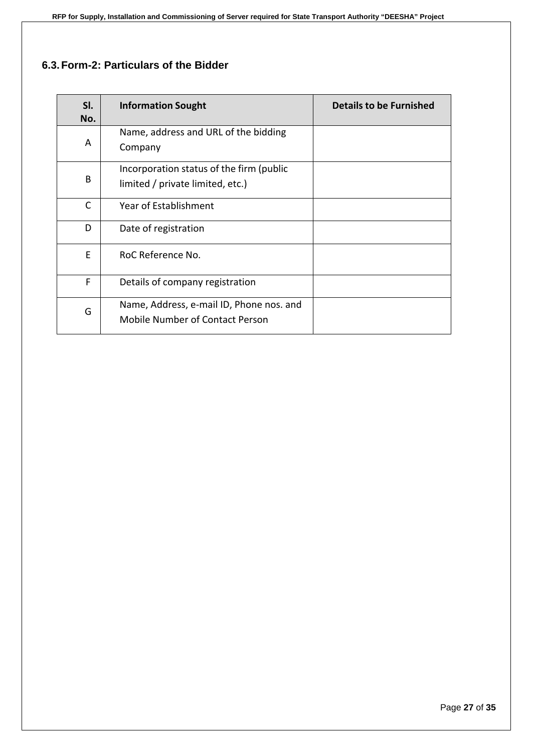## <span id="page-26-0"></span>**6.3.Form-2: Particulars of the Bidder**

| SI.<br>No.   | <b>Information Sought</b>                                                          | <b>Details to be Furnished</b> |
|--------------|------------------------------------------------------------------------------------|--------------------------------|
| A            | Name, address and URL of the bidding<br>Company                                    |                                |
| B            | Incorporation status of the firm (public<br>limited / private limited, etc.)       |                                |
| $\mathsf{C}$ | <b>Year of Establishment</b>                                                       |                                |
| D            | Date of registration                                                               |                                |
| E            | RoC Reference No.                                                                  |                                |
| F            | Details of company registration                                                    |                                |
| G            | Name, Address, e-mail ID, Phone nos. and<br><b>Mobile Number of Contact Person</b> |                                |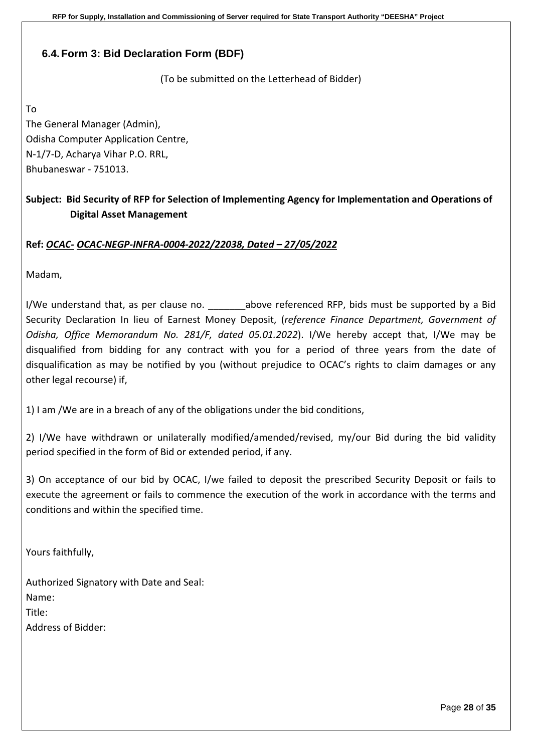## <span id="page-27-0"></span>**6.4.Form 3: Bid Declaration Form (BDF)**

(To be submitted on the Letterhead of Bidder)

To

The General Manager (Admin), Odisha Computer Application Centre, N-1/7-D, Acharya Vihar P.O. RRL, Bhubaneswar - 751013.

## **Subject: Bid Security of RFP for Selection of Implementing Agency for Implementation and Operations of Digital Asset Management**

#### **Ref:** *OCAC- OCAC-NEGP-INFRA-0004-2022/22038, Dated – 27/05/2022*

Madam,

I/We understand that, as per clause no. \_\_\_\_\_\_\_above referenced RFP, bids must be supported by a Bid Security Declaration In lieu of Earnest Money Deposit, (*reference Finance Department, Government of Odisha, Office Memorandum No. 281/F, dated 05.01.2022*). I/We hereby accept that, I/We may be disqualified from bidding for any contract with you for a period of three years from the date of disqualification as may be notified by you (without prejudice to OCAC's rights to claim damages or any other legal recourse) if,

1) I am /We are in a breach of any of the obligations under the bid conditions,

2) I/We have withdrawn or unilaterally modified/amended/revised, my/our Bid during the bid validity period specified in the form of Bid or extended period, if any.

3) On acceptance of our bid by OCAC, I/we failed to deposit the prescribed Security Deposit or fails to execute the agreement or fails to commence the execution of the work in accordance with the terms and conditions and within the specified time.

Yours faithfully,

Authorized Signatory with Date and Seal: Name: Title<sup>.</sup> Address of Bidder: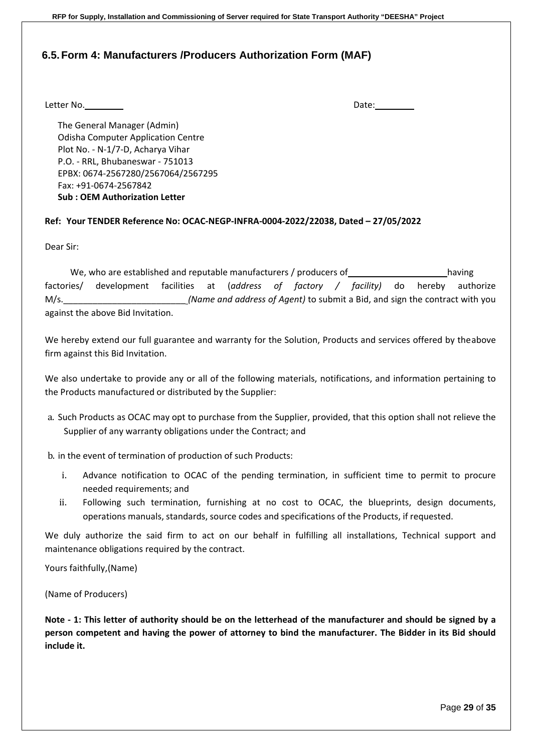#### <span id="page-28-0"></span>**6.5.Form 4: Manufacturers /Producers Authorization Form (MAF)**

Letter No. 2008 and 2008 and 2008 and 2008 and 2008 and 2008 and 2008 and 2008 and 2008 and 2008 and 2008 and 2008 and 2008 and 2008 and 2008 and 2008 and 2008 and 2008 and 2008 and 2008 and 2008 and 2008 and 2008 and 2008

The General Manager (Admin) Odisha Computer Application Centre Plot No. - N-1/7-D, Acharya Vihar P.O. - RRL, Bhubaneswar - 751013 EPBX: 0674-2567280/2567064/2567295 Fax: +91-0674-2567842 **Sub : OEM Authorization Letter**

#### **Ref: Your TENDER Reference No: OCAC-NEGP-INFRA-0004-2022/22038, Dated – 27/05/2022**

Dear Sir:

We, who are established and reputable manufacturers / producers of having having factories/ development facilities at (*address of factory / facility)* do hereby authorize M/s. **Mannet and address of Agent)** to submit a Bid, and sign the contract with you against the above Bid Invitation.

We hereby extend our full guarantee and warranty for the Solution, Products and services offered by theabove firm against this Bid Invitation.

We also undertake to provide any or all of the following materials, notifications, and information pertaining to the Products manufactured or distributed by the Supplier:

a. Such Products as OCAC may opt to purchase from the Supplier, provided, that this option shall not relieve the Supplier of any warranty obligations under the Contract; and

b. in the event of termination of production of such Products:

- i. Advance notification to OCAC of the pending termination, in sufficient time to permit to procure needed requirements; and
- ii. Following such termination, furnishing at no cost to OCAC, the blueprints, design documents, operations manuals, standards, source codes and specifications of the Products, if requested.

We duly authorize the said firm to act on our behalf in fulfilling all installations, Technical support and maintenance obligations required by the contract.

Yours faithfully,(Name)

(Name of Producers)

**Note - 1: This letter of authority should be on the letterhead of the manufacturer and should be signed by a person competent and having the power of attorney to bind the manufacturer. The Bidder in its Bid should include it.**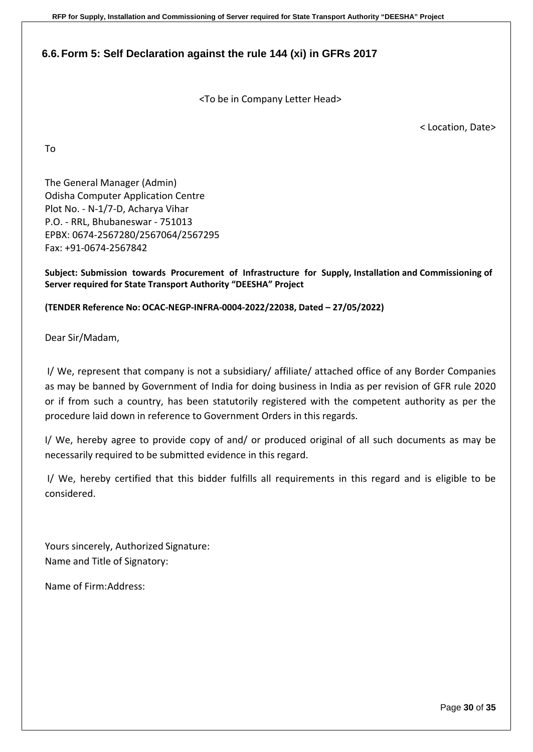**RFP for Supply, Installation and Commissioning of Server required for State Transport Authority "DEESHA" Project**

## <span id="page-29-0"></span>**6.6.Form 5: Self Declaration against the rule 144 (xi) in GFRs 2017**

<To be in Company Letter Head>

< Location, Date>

To

The General Manager (Admin) Odisha Computer Application Centre Plot No. - N-1/7-D, Acharya Vihar P.O. - RRL, Bhubaneswar - 751013 EPBX: 0674-2567280/2567064/2567295 Fax: +91-0674-2567842

**Subject: Submission towards Procurement of Infrastructure for Supply, Installation and Commissioning of Server required for State Transport Authority "DEESHA" Project** 

**(TENDER Reference No: OCAC-NEGP-INFRA-0004-2022/22038, Dated – 27/05/2022)**

Dear Sir/Madam,

I/ We, represent that company is not a subsidiary/ affiliate/ attached office of any Border Companies as may be banned by Government of India for doing business in India as per revision of GFR rule 2020 or if from such a country, has been statutorily registered with the competent authority as per the procedure laid down in reference to Government Orders in this regards.

I/ We, hereby agree to provide copy of and/ or produced original of all such documents as may be necessarily required to be submitted evidence in this regard.

I/ We, hereby certified that this bidder fulfills all requirements in this regard and is eligible to be considered.

Yours sincerely, Authorized Signature: Name and Title of Signatory:

Name of Firm:Address: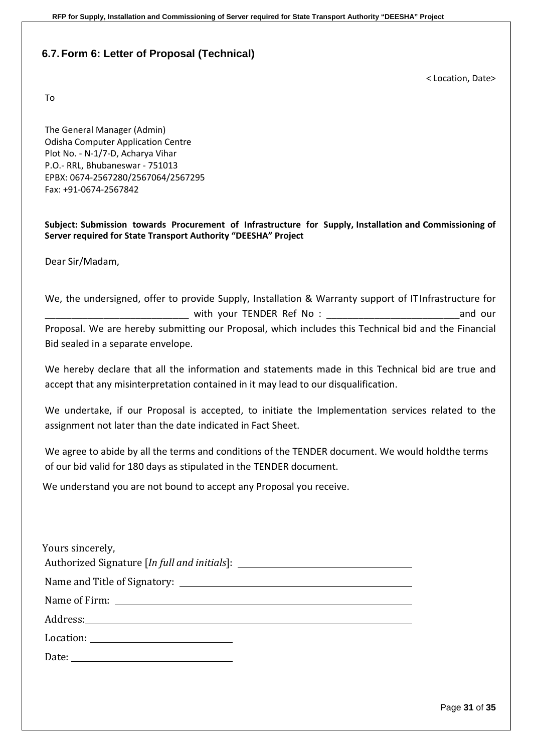### <span id="page-30-0"></span>**6.7.Form 6: Letter of Proposal (Technical)**

To

< Location, Date>

The General Manager (Admin) Odisha Computer Application Centre Plot No. - N-1/7-D, Acharya Vihar P.O.- RRL, Bhubaneswar - 751013 EPBX: 0674-2567280/2567064/2567295 Fax: +91-0674-2567842

**Subject: Submission towards Procurement of Infrastructure for Supply, Installation and Commissioning of Server required for State Transport Authority "DEESHA" Project** 

Dear Sir/Madam,

We, the undersigned, offer to provide Supply, Installation & Warranty support of ITInfrastructure for \_\_\_\_\_\_\_\_\_\_\_\_\_\_\_\_\_\_\_\_\_\_\_\_\_\_\_ with your TENDER Ref No : \_\_\_\_\_\_\_\_\_\_\_\_\_\_\_\_\_\_\_\_\_\_\_\_\_and our Proposal. We are hereby submitting our Proposal, which includes this Technical bid and the Financial Bid sealed in a separate envelope.

We hereby declare that all the information and statements made in this Technical bid are true and accept that any misinterpretation contained in it may lead to our disqualification.

We undertake, if our Proposal is accepted, to initiate the Implementation services related to the assignment not later than the date indicated in Fact Sheet.

We agree to abide by all the terms and conditions of the TENDER document. We would holdthe terms of our bid valid for 180 days as stipulated in the TENDER document.

We understand you are not bound to accept any Proposal you receive.

| Yours sincerely,<br>Authorized Signature [In full and initials]: ___________________________________                                                                                                                                                                                                                                                                                                                                                                                                                                                                 |  |  |  |
|----------------------------------------------------------------------------------------------------------------------------------------------------------------------------------------------------------------------------------------------------------------------------------------------------------------------------------------------------------------------------------------------------------------------------------------------------------------------------------------------------------------------------------------------------------------------|--|--|--|
|                                                                                                                                                                                                                                                                                                                                                                                                                                                                                                                                                                      |  |  |  |
| Name of Firm: Name of Firm:                                                                                                                                                                                                                                                                                                                                                                                                                                                                                                                                          |  |  |  |
|                                                                                                                                                                                                                                                                                                                                                                                                                                                                                                                                                                      |  |  |  |
| $\text{Location:}\n \underline{\hspace{2cm}}\n \underline{\hspace{2cm}}\n \underline{\hspace{2cm}}\n \underline{\hspace{2cm}}\n \underline{\hspace{2cm}}\n \underline{\hspace{2cm}}\n \underline{\hspace{2cm}}\n \underline{\hspace{2cm}}\n \underline{\hspace{2cm}}\n \underline{\hspace{2cm}}\n \underline{\hspace{2cm}}\n \underline{\hspace{2cm}}\n \underline{\hspace{2cm}}\n \underline{\hspace{2cm}}\n \underline{\hspace{2cm}}\n \underline{\hspace{2cm}}\n \underline{\hspace{2cm}}\n \underline{\hspace{2cm}}\n \underline{\hspace{2cm}}\n \underline{\hs$ |  |  |  |
|                                                                                                                                                                                                                                                                                                                                                                                                                                                                                                                                                                      |  |  |  |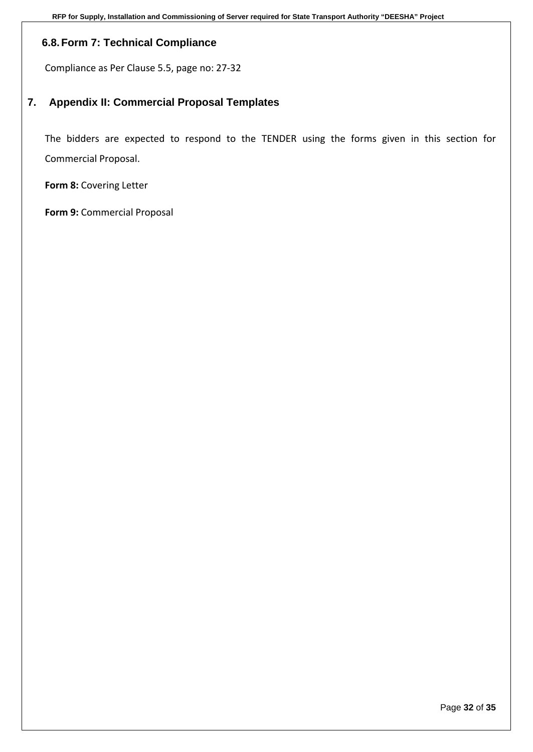## <span id="page-31-0"></span>**6.8.Form 7: Technical Compliance**

Compliance as Per Clause 5.5, page no: 27-32

## <span id="page-31-1"></span>**7. Appendix II: Commercial Proposal Templates**

The bidders are expected to respond to the TENDER using the forms given in this section for Commercial Proposal.

**Form 8:** Covering Letter

**Form 9:** Commercial Proposal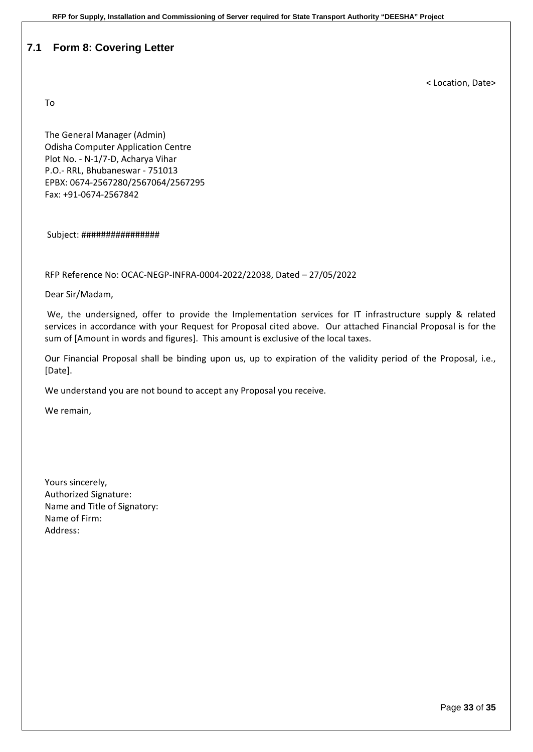#### <span id="page-32-0"></span>**7.1 Form 8: Covering Letter**

To

< Location, Date>

The General Manager (Admin) Odisha Computer Application Centre Plot No. - N-1/7-D, Acharya Vihar P.O.- RRL, Bhubaneswar - 751013 EPBX: 0674-2567280/2567064/2567295 Fax: +91-0674-2567842

Subject: ################

RFP Reference No: OCAC-NEGP-INFRA-0004-2022/22038, Dated – 27/05/2022

Dear Sir/Madam,

We, the undersigned, offer to provide the Implementation services for IT infrastructure supply & related services in accordance with your Request for Proposal cited above. Our attached Financial Proposal is for the sum of [Amount in words and figures]. This amount is exclusive of the local taxes.

Our Financial Proposal shall be binding upon us, up to expiration of the validity period of the Proposal, i.e., [Date].

We understand you are not bound to accept any Proposal you receive.

We remain,

Yours sincerely, Authorized Signature: Name and Title of Signatory: Name of Firm: Address: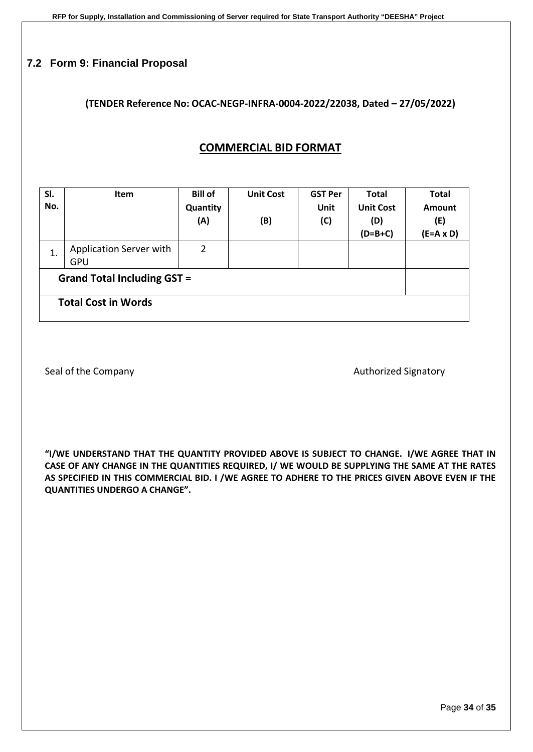### <span id="page-33-0"></span>**7.2 Form 9: Financial Proposal**

#### **(TENDER Reference No: OCAC-NEGP-INFRA-0004-2022/22038, Dated – 27/05/2022)**

## **COMMERCIAL BID FORMAT**

| SI.<br>No.                         | <b>Item</b>                           | <b>Bill of</b><br>Quantity<br>(A) | <b>Unit Cost</b><br>(B) | <b>GST Per</b><br>Unit<br>(C) | <b>Total</b><br><b>Unit Cost</b><br>(D)<br>$(D=B+C)$ | <b>Total</b><br><b>Amount</b><br>(E)<br>$(E=A \times D)$ |
|------------------------------------|---------------------------------------|-----------------------------------|-------------------------|-------------------------------|------------------------------------------------------|----------------------------------------------------------|
| 1.                                 | Application Server with<br><b>GPU</b> | $\overline{2}$                    |                         |                               |                                                      |                                                          |
| <b>Grand Total Including GST =</b> |                                       |                                   |                         |                               |                                                      |                                                          |
| <b>Total Cost in Words</b>         |                                       |                                   |                         |                               |                                                      |                                                          |

Seal of the Company and the Company Authorized Signatory

**"I/WE UNDERSTAND THAT THE QUANTITY PROVIDED ABOVE IS SUBJECT TO CHANGE. I/WE AGREE THAT IN CASE OF ANY CHANGE IN THE QUANTITIES REQUIRED, I/ WE WOULD BE SUPPLYING THE SAME AT THE RATES AS SPECIFIED IN THIS COMMERCIAL BID. I /WE AGREE TO ADHERE TO THE PRICES GIVEN ABOVE EVEN IF THE QUANTITIES UNDERGO A CHANGE".**